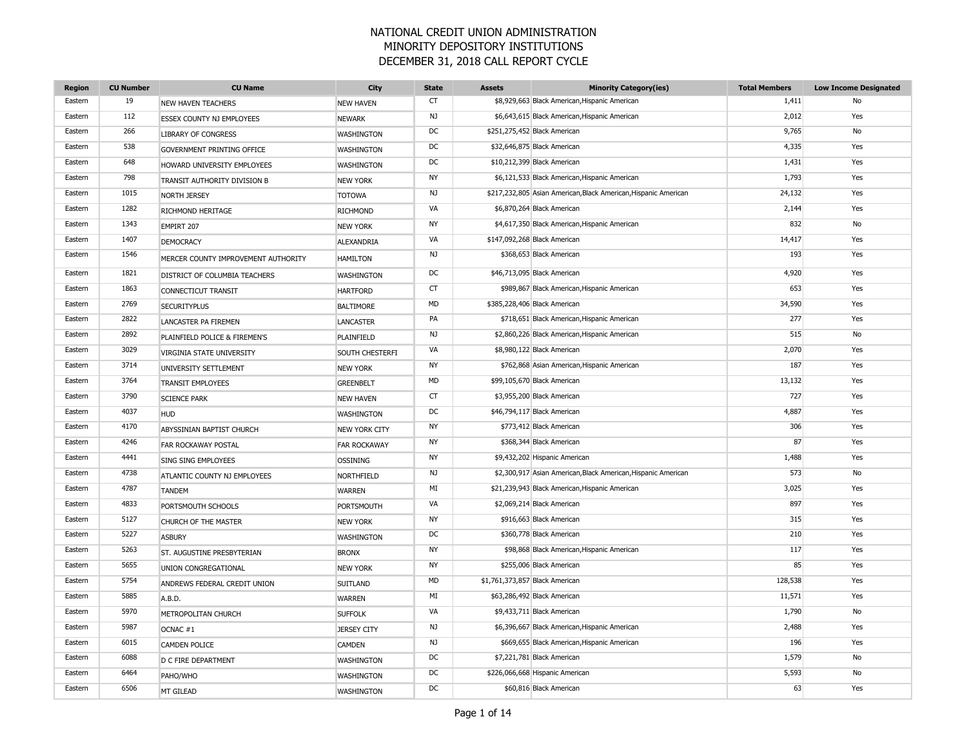| <b>Region</b> | <b>CU Number</b> | <b>CU Name</b>                      | City                 | <b>State</b> | <b>Assets</b> | <b>Minority Category(ies)</b>                                   | <b>Total Members</b> | <b>Low Income Designated</b> |
|---------------|------------------|-------------------------------------|----------------------|--------------|---------------|-----------------------------------------------------------------|----------------------|------------------------------|
| Eastern       | 19               | <b>NEW HAVEN TEACHERS</b>           | <b>NEW HAVEN</b>     | <b>CT</b>    |               | \$8,929,663 Black American, Hispanic American                   | 1,411                | No                           |
| Eastern       | 112              | ESSEX COUNTY NJ EMPLOYEES           | <b>NEWARK</b>        | NJ           |               | \$6,643,615 Black American, Hispanic American                   | 2,012                | Yes                          |
| Eastern       | 266              | <b>LIBRARY OF CONGRESS</b>          | <b>WASHINGTON</b>    | DC           |               | \$251,275,452 Black American                                    | 9,765                | No                           |
| Eastern       | 538              | GOVERNMENT PRINTING OFFICE          | WASHINGTON           | DC           |               | \$32,646,875 Black American                                     | 4,335                | Yes                          |
| Eastern       | 648              | HOWARD UNIVERSITY EMPLOYEES         | <b>WASHINGTON</b>    | DC           |               | \$10,212,399 Black American                                     | 1,431                | Yes                          |
| Eastern       | 798              | TRANSIT AUTHORITY DIVISION B        | <b>NEW YORK</b>      | NY           |               | \$6,121,533 Black American, Hispanic American                   | 1,793                | Yes                          |
| Eastern       | 1015             | NORTH JERSEY                        | <b>TOTOWA</b>        | NJ           |               | \$217,232,805 Asian American, Black American, Hispanic American | 24,132               | Yes                          |
| Eastern       | 1282             | RICHMOND HERITAGE                   | <b>RICHMOND</b>      | VA           |               | \$6,870,264 Black American                                      | 2,144                | Yes                          |
| Eastern       | 1343             | EMPIRT 207                          | <b>NEW YORK</b>      | <b>NY</b>    |               | \$4,617,350 Black American, Hispanic American                   | 832                  | No                           |
| Eastern       | 1407             | <b>DEMOCRACY</b>                    | ALEXANDRIA           | VA           |               | \$147,092,268 Black American                                    | 14,417               | Yes                          |
| Eastern       | 1546             | MERCER COUNTY IMPROVEMENT AUTHORITY | <b>HAMILTON</b>      | NJ           |               | \$368,653 Black American                                        | 193                  | Yes                          |
| Eastern       | 1821             | DISTRICT OF COLUMBIA TEACHERS       | <b>WASHINGTON</b>    | DC           |               | \$46,713,095 Black American                                     | 4,920                | Yes                          |
| Eastern       | 1863             | CONNECTICUT TRANSIT                 | <b>HARTFORD</b>      | <b>CT</b>    |               | \$989,867 Black American, Hispanic American                     | 653                  | Yes                          |
| Eastern       | 2769             | <b>SECURITYPLUS</b>                 | <b>BALTIMORE</b>     | <b>MD</b>    |               | \$385,228,406 Black American                                    | 34,590               | Yes                          |
| Eastern       | 2822             | LANCASTER PA FIREMEN                | <b>LANCASTER</b>     | PA           |               | \$718,651 Black American, Hispanic American                     | 277                  | Yes                          |
| Eastern       | 2892             | PLAINFIELD POLICE & FIREMEN'S       | PLAINFIELD           | NJ           |               | \$2,860,226 Black American, Hispanic American                   | 515                  | No                           |
| Eastern       | 3029             | VIRGINIA STATE UNIVERSITY           | SOUTH CHESTERFI      | VA           |               | \$8,980,122 Black American                                      | 2,070                | Yes                          |
| Eastern       | 3714             | UNIVERSITY SETTLEMENT               | <b>NEW YORK</b>      | <b>NY</b>    |               | \$762,868 Asian American, Hispanic American                     | 187                  | Yes                          |
| Eastern       | 3764             | <b>TRANSIT EMPLOYEES</b>            | <b>GREENBELT</b>     | <b>MD</b>    |               | \$99,105,670 Black American                                     | 13,132               | Yes                          |
| Eastern       | 3790             | <b>SCIENCE PARK</b>                 | <b>NEW HAVEN</b>     | <b>CT</b>    |               | \$3,955,200 Black American                                      | 727                  | Yes                          |
| Eastern       | 4037             | <b>HUD</b>                          | <b>WASHINGTON</b>    | DC           |               | \$46,794,117 Black American                                     | 4,887                | Yes                          |
| Eastern       | 4170             | ABYSSINIAN BAPTIST CHURCH           | <b>NEW YORK CITY</b> | <b>NY</b>    |               | \$773,412 Black American                                        | 306                  | Yes                          |
| Eastern       | 4246             | <b>FAR ROCKAWAY POSTAL</b>          | <b>FAR ROCKAWAY</b>  | NY           |               | \$368,344 Black American                                        | 87                   | Yes                          |
| Eastern       | 4441             | <b>SING SING EMPLOYEES</b>          | <b>OSSINING</b>      | <b>NY</b>    |               | \$9,432,202 Hispanic American                                   | 1,488                | Yes                          |
| Eastern       | 4738             | ATLANTIC COUNTY NJ EMPLOYEES        | NORTHFIELD           | NJ           |               | \$2,300,917 Asian American, Black American, Hispanic American   | 573                  | No                           |
| Eastern       | 4787             | <b>TANDEM</b>                       | <b>WARREN</b>        | MI           |               | \$21,239,943 Black American, Hispanic American                  | 3,025                | Yes                          |
| Eastern       | 4833             | PORTSMOUTH SCHOOLS                  | PORTSMOUTH           | VA           |               | \$2,069,214 Black American                                      | 897                  | Yes                          |
| Eastern       | 5127             | CHURCH OF THE MASTER                | <b>NEW YORK</b>      | <b>NY</b>    |               | \$916,663 Black American                                        | 315                  | Yes                          |
| Eastern       | 5227             | <b>ASBURY</b>                       | <b>WASHINGTON</b>    | DC           |               | \$360,778 Black American                                        | 210                  | Yes                          |
| Eastern       | 5263             | ST. AUGUSTINE PRESBYTERIAN          | <b>BRONX</b>         | NY           |               | \$98,868 Black American, Hispanic American                      | 117                  | Yes                          |
| Eastern       | 5655             | UNION CONGREGATIONAL                | <b>NEW YORK</b>      | <b>NY</b>    |               | \$255,006 Black American                                        | 85                   | Yes                          |
| Eastern       | 5754             | ANDREWS FEDERAL CREDIT UNION        | <b>SUITLAND</b>      | <b>MD</b>    |               | \$1,761,373,857 Black American                                  | 128,538              | Yes                          |
| Eastern       | 5885             | A.B.D.                              | <b>WARREN</b>        | MI           |               | \$63,286,492 Black American                                     | 11,571               | Yes                          |
| Eastern       | 5970             | METROPOLITAN CHURCH                 | <b>SUFFOLK</b>       | VA           |               | \$9,433,711 Black American                                      | 1,790                | No                           |
| Eastern       | 5987             | OCNAC #1                            | <b>JERSEY CITY</b>   | NJ           |               | \$6,396,667 Black American, Hispanic American                   | 2,488                | Yes                          |
| Eastern       | 6015             | <b>CAMDEN POLICE</b>                | <b>CAMDEN</b>        | NJ           |               | \$669,655 Black American, Hispanic American                     | 196                  | Yes                          |
| Eastern       | 6088             | D C FIRE DEPARTMENT                 | <b>WASHINGTON</b>    | DC           |               | \$7,221,781 Black American                                      | 1,579                | No                           |
| Eastern       | 6464             | PAHO/WHO                            | <b>WASHINGTON</b>    | DC           |               | \$226,066,668 Hispanic American                                 | 5,593                | No                           |
| Eastern       | 6506             | MT GILEAD                           | <b>WASHINGTON</b>    | DC           |               | \$60,816 Black American                                         | 63                   | Yes                          |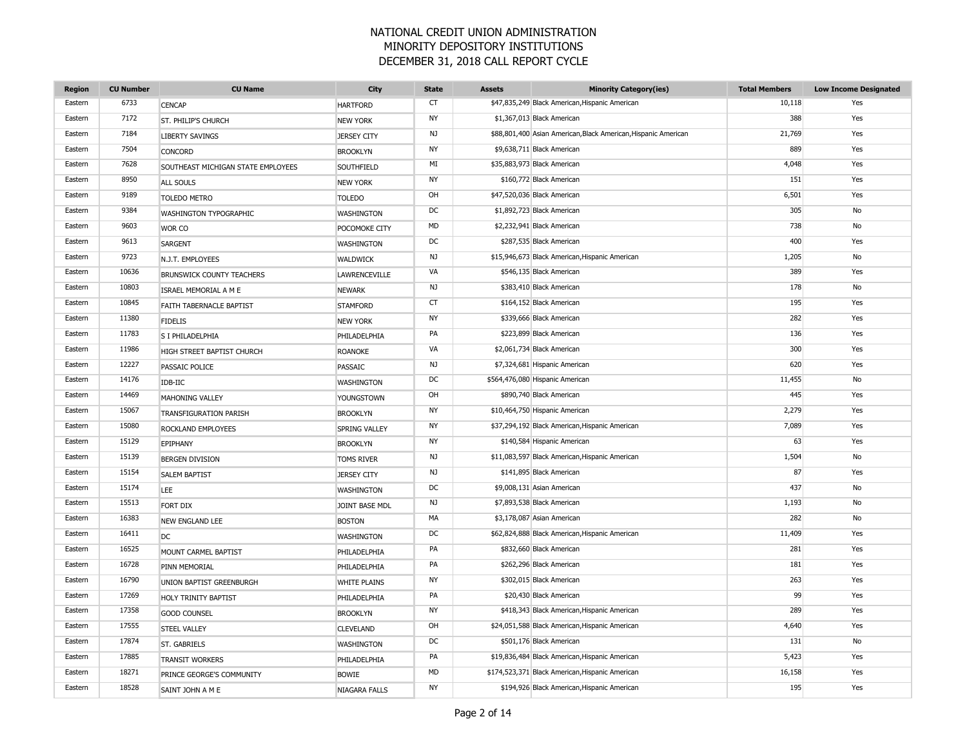| <b>Region</b> | <b>CU Number</b> | <b>CU Name</b>                     | City                 | <b>State</b> | <b>Assets</b> | <b>Minority Category(ies)</b>                                  | <b>Total Members</b> | <b>Low Income Designated</b> |
|---------------|------------------|------------------------------------|----------------------|--------------|---------------|----------------------------------------------------------------|----------------------|------------------------------|
| Eastern       | 6733             | <b>CENCAP</b>                      | <b>HARTFORD</b>      | CT           |               | \$47,835,249 Black American, Hispanic American                 | 10,118               | Yes                          |
| Eastern       | 7172             | ST. PHILIP'S CHURCH                | <b>NEW YORK</b>      | <b>NY</b>    |               | \$1,367,013 Black American                                     | 388                  | Yes                          |
| Eastern       | 7184             | <b>LIBERTY SAVINGS</b>             | <b>JERSEY CITY</b>   | NJ           |               | \$88,801,400 Asian American, Black American, Hispanic American | 21,769               | Yes                          |
| Eastern       | 7504             | CONCORD                            | <b>BROOKLYN</b>      | NY           |               | \$9,638,711 Black American                                     | 889                  | Yes                          |
| Eastern       | 7628             | SOUTHEAST MICHIGAN STATE EMPLOYEES | SOUTHFIELD           | MI           |               | \$35,883,973 Black American                                    | 4,048                | Yes                          |
| Eastern       | 8950             | ALL SOULS                          | <b>NEW YORK</b>      | <b>NY</b>    |               | \$160,772 Black American                                       | 151                  | Yes                          |
| Eastern       | 9189             | <b>TOLEDO METRO</b>                | <b>TOLEDO</b>        | OH           |               | \$47,520,036 Black American                                    | 6,501                | Yes                          |
| Eastern       | 9384             | WASHINGTON TYPOGRAPHIC             | <b>WASHINGTON</b>    | <b>DC</b>    |               | \$1,892,723 Black American                                     | 305                  | No                           |
| Eastern       | 9603             | WOR CO                             | POCOMOKE CITY        | MD           |               | \$2,232,941 Black American                                     | 738                  | No                           |
| Eastern       | 9613             | <b>SARGENT</b>                     | <b>WASHINGTON</b>    | DC           |               | \$287,535 Black American                                       | 400                  | Yes                          |
| Eastern       | 9723             | N.J.T. EMPLOYEES                   | WALDWICK             | NJ           |               | \$15,946,673 Black American, Hispanic American                 | 1,205                | No                           |
| Eastern       | 10636            | BRUNSWICK COUNTY TEACHERS          | <b>LAWRENCEVILLE</b> | VA           |               | \$546,135 Black American                                       | 389                  | Yes                          |
| Eastern       | 10803            | ISRAEL MEMORIAL A M E              | <b>NEWARK</b>        | NJ           |               | \$383,410 Black American                                       | 178                  | No                           |
| Eastern       | 10845            | FAITH TABERNACLE BAPTIST           | <b>STAMFORD</b>      | <b>CT</b>    |               | \$164,152 Black American                                       | 195                  | Yes                          |
| Eastern       | 11380            | <b>FIDELIS</b>                     | <b>NEW YORK</b>      | NY           |               | \$339,666 Black American                                       | 282                  | Yes                          |
| Eastern       | 11783            | S I PHILADELPHIA                   | PHILADELPHIA         | PA           |               | \$223,899 Black American                                       | 136                  | Yes                          |
| Eastern       | 11986            | HIGH STREET BAPTIST CHURCH         | <b>ROANOKE</b>       | VA           |               | \$2,061,734 Black American                                     | 300                  | Yes                          |
| Eastern       | 12227            | PASSAIC POLICE                     | <b>PASSAIC</b>       | NJ           |               | \$7,324,681 Hispanic American                                  | 620                  | Yes                          |
| Eastern       | 14176            | IDB-IIC                            | WASHINGTON           | <b>DC</b>    |               | \$564,476,080 Hispanic American                                | 11,455               | No                           |
| Eastern       | 14469            | <b>MAHONING VALLEY</b>             | YOUNGSTOWN           | OH           |               | \$890,740 Black American                                       | 445                  | Yes                          |
| Eastern       | 15067            | TRANSFIGURATION PARISH             | <b>BROOKLYN</b>      | <b>NY</b>    |               | \$10,464,750 Hispanic American                                 | 2,279                | Yes                          |
| Eastern       | 15080            | ROCKLAND EMPLOYEES                 | <b>SPRING VALLEY</b> | <b>NY</b>    |               | \$37,294,192 Black American, Hispanic American                 | 7,089                | Yes                          |
| Eastern       | 15129            | EPIPHANY                           | <b>BROOKLYN</b>      | NY           |               | \$140,584 Hispanic American                                    | 63                   | Yes                          |
| Eastern       | 15139            | <b>BERGEN DIVISION</b>             | <b>TOMS RIVER</b>    | NJ           |               | \$11,083,597 Black American, Hispanic American                 | 1,504                | No                           |
| Eastern       | 15154            | <b>SALEM BAPTIST</b>               | <b>JERSEY CITY</b>   | NJ           |               | \$141,895 Black American                                       | 87                   | Yes                          |
| Eastern       | 15174            | <b>LEE</b>                         | <b>WASHINGTON</b>    | DC           |               | \$9,008,131 Asian American                                     | 437                  | No                           |
| Eastern       | 15513            | FORT DIX                           | JOINT BASE MDL       | NJ.          |               | \$7,893,538 Black American                                     | 1,193                | No                           |
| Eastern       | 16383            | <b>NEW ENGLAND LEE</b>             | <b>BOSTON</b>        | МA           |               | \$3,178,087 Asian American                                     | 282                  | No                           |
| Eastern       | 16411            | DC                                 | <b>WASHINGTON</b>    | DC           |               | \$62,824,888 Black American, Hispanic American                 | 11,409               | Yes                          |
| Eastern       | 16525            | MOUNT CARMEL BAPTIST               | PHILADELPHIA         | PA           |               | \$832,660 Black American                                       | 281                  | Yes                          |
| Eastern       | 16728            | PINN MEMORIAL                      | PHILADELPHIA         | PA           |               | \$262,296 Black American                                       | 181                  | Yes                          |
| Eastern       | 16790            | UNION BAPTIST GREENBURGH           | <b>WHITE PLAINS</b>  | NY           |               | \$302,015 Black American                                       | 263                  | Yes                          |
| Eastern       | 17269            | HOLY TRINITY BAPTIST               | PHILADELPHIA         | PA           |               | \$20,430 Black American                                        | 99                   | Yes                          |
| Eastern       | 17358            | <b>GOOD COUNSEL</b>                | <b>BROOKLYN</b>      | <b>NY</b>    |               | \$418,343 Black American, Hispanic American                    | 289                  | Yes                          |
| Eastern       | 17555            | <b>STEEL VALLEY</b>                | <b>CLEVELAND</b>     | OH           |               | \$24,051,588 Black American, Hispanic American                 | 4,640                | Yes                          |
| Eastern       | 17874            | <b>ST. GABRIELS</b>                | <b>WASHINGTON</b>    | DC           |               | \$501,176 Black American                                       | 131                  | No                           |
| Eastern       | 17885            | <b>TRANSIT WORKERS</b>             | PHILADELPHIA         | PA           |               | \$19,836,484 Black American, Hispanic American                 | 5,423                | Yes                          |
| Eastern       | 18271            | PRINCE GEORGE'S COMMUNITY          | <b>BOWIE</b>         | <b>MD</b>    |               | \$174,523,371 Black American, Hispanic American                | 16,158               | Yes                          |
| Eastern       | 18528            | SAINT JOHN A M E                   | <b>NIAGARA FALLS</b> | <b>NY</b>    |               | \$194,926 Black American, Hispanic American                    | 195                  | Yes                          |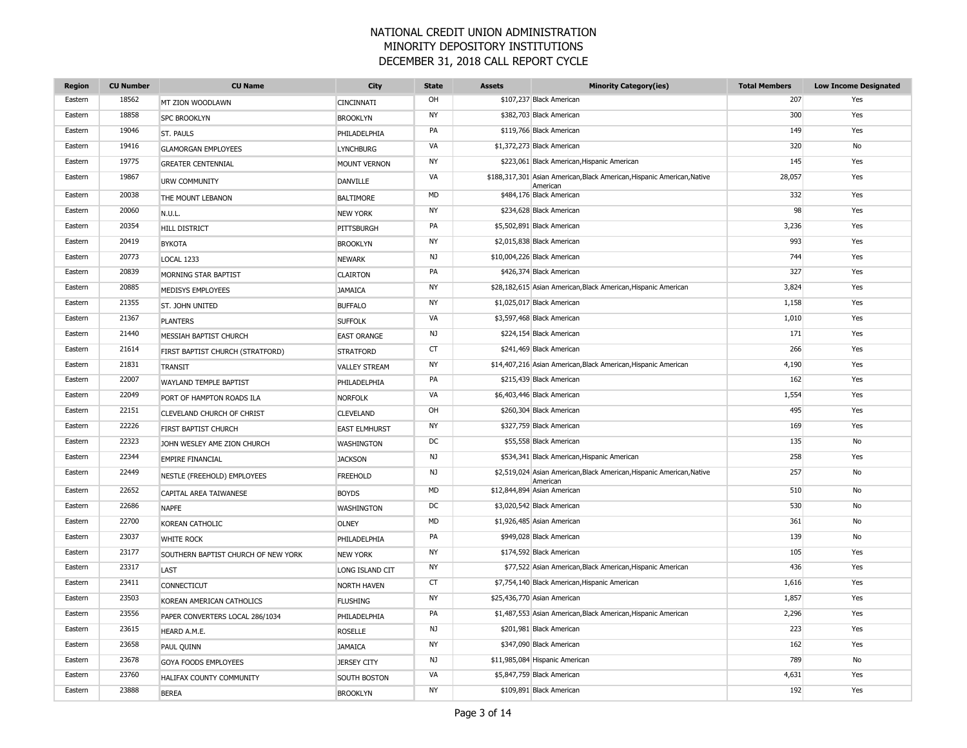| <b>Region</b> | <b>CU Number</b> | <b>CU Name</b>                      | City                 | <b>State</b> | <b>Assets</b> | <b>Minority Category(ies)</b>                                                       | <b>Total Members</b> | <b>Low Income Designated</b> |
|---------------|------------------|-------------------------------------|----------------------|--------------|---------------|-------------------------------------------------------------------------------------|----------------------|------------------------------|
| Eastern       | 18562            | MT ZION WOODLAWN                    | <b>CINCINNATI</b>    | OH           |               | \$107,237 Black American                                                            | 207                  | Yes                          |
| Eastern       | 18858            | <b>SPC BROOKLYN</b>                 | <b>BROOKLYN</b>      | <b>NY</b>    |               | \$382,703 Black American                                                            | 300                  | Yes                          |
| Eastern       | 19046            | ST. PAULS                           | PHILADELPHIA         | PA           |               | \$119,766 Black American                                                            | 149                  | Yes                          |
| Eastern       | 19416            | <b>GLAMORGAN EMPLOYEES</b>          | <b>LYNCHBURG</b>     | VA           |               | \$1,372,273 Black American                                                          | 320                  | No                           |
| Eastern       | 19775            | <b>GREATER CENTENNIAL</b>           | <b>MOUNT VERNON</b>  | <b>NY</b>    |               | \$223,061 Black American, Hispanic American                                         | 145                  | Yes                          |
| Eastern       | 19867            | <b>URW COMMUNITY</b>                | <b>DANVILLE</b>      | VA           |               | \$188,317,301 Asian American, Black American, Hispanic American, Native<br>Americar | 28,057               | Yes                          |
| Eastern       | 20038            | THE MOUNT LEBANON                   | <b>BALTIMORE</b>     | <b>MD</b>    |               | \$484,176 Black American                                                            | 332                  | Yes                          |
| Eastern       | 20060            | N.U.L.                              | <b>NEW YORK</b>      | <b>NY</b>    |               | \$234,628 Black American                                                            | 98                   | Yes                          |
| Eastern       | 20354            | HILL DISTRICT                       | PITTSBURGH           | PA           |               | \$5,502,891 Black American                                                          | 3,236                | Yes                          |
| Eastern       | 20419            | <b>BYKOTA</b>                       | <b>BROOKLYN</b>      | <b>NY</b>    |               | \$2,015,838 Black American                                                          | 993                  | Yes                          |
| Eastern       | 20773            | <b>LOCAL 1233</b>                   | <b>NEWARK</b>        | NJ           |               | \$10,004,226 Black American                                                         | 744                  | Yes                          |
| Eastern       | 20839            | MORNING STAR BAPTIST                | <b>CLAIRTON</b>      | PA           |               | \$426,374 Black American                                                            | 327                  | Yes                          |
| Eastern       | 20885            | MEDISYS EMPLOYEES                   | <b>JAMAICA</b>       | <b>NY</b>    |               | \$28,182,615 Asian American, Black American, Hispanic American                      | 3,824                | Yes                          |
| Eastern       | 21355            | ST. JOHN UNITED                     | <b>BUFFALO</b>       | <b>NY</b>    |               | \$1,025,017 Black American                                                          | 1,158                | Yes                          |
| Eastern       | 21367            | <b>PLANTERS</b>                     | <b>SUFFOLK</b>       | VA           |               | \$3,597,468 Black American                                                          | 1,010                | Yes                          |
| Eastern       | 21440            | MESSIAH BAPTIST CHURCH              | <b>EAST ORANGE</b>   | NJ           |               | \$224,154 Black American                                                            | 171                  | Yes                          |
| Eastern       | 21614            | FIRST BAPTIST CHURCH (STRATFORD)    | <b>STRATFORD</b>     | <b>CT</b>    |               | \$241,469 Black American                                                            | 266                  | Yes                          |
| Eastern       | 21831            | <b>TRANSIT</b>                      | <b>VALLEY STREAM</b> | <b>NY</b>    |               | \$14,407,216 Asian American, Black American, Hispanic American                      | 4,190                | Yes                          |
| Eastern       | 22007            | <b>WAYLAND TEMPLE BAPTIST</b>       | PHILADELPHIA         | PA           |               | \$215,439 Black American                                                            | 162                  | Yes                          |
| Eastern       | 22049            | PORT OF HAMPTON ROADS ILA           | <b>NORFOLK</b>       | VA           |               | \$6,403,446 Black American                                                          | 1,554                | Yes                          |
| Eastern       | 22151            | CLEVELAND CHURCH OF CHRIST          | <b>CLEVELAND</b>     | OH           |               | \$260,304 Black American                                                            | 495                  | Yes                          |
| Eastern       | 22226            | FIRST BAPTIST CHURCH                | <b>EAST ELMHURST</b> | NY           |               | \$327,759 Black American                                                            | 169                  | Yes                          |
| Eastern       | 22323            | JOHN WESLEY AME ZION CHURCH         | <b>WASHINGTON</b>    | DC           |               | \$55,558 Black American                                                             | 135                  | No                           |
| Eastern       | 22344            | <b>EMPIRE FINANCIAL</b>             | <b>JACKSON</b>       | NJ           |               | \$534,341 Black American, Hispanic American                                         | 258                  | Yes                          |
| Eastern       | 22449            | NESTLE (FREEHOLD) EMPLOYEES         | <b>FREEHOLD</b>      | NJ           |               | \$2,519,024 Asian American, Black American, Hispanic American, Native<br>American   | 257                  | No                           |
| Eastern       | 22652            | <b>CAPITAL AREA TAIWANESE</b>       | <b>BOYDS</b>         | <b>MD</b>    |               | \$12,844,894 Asian American                                                         | 510                  | No                           |
| Eastern       | 22686            | <b>NAPFE</b>                        | WASHINGTON           | DC           |               | \$3,020,542 Black American                                                          | 530                  | No                           |
| Eastern       | 22700            | KOREAN CATHOLIC                     | <b>OLNEY</b>         | <b>MD</b>    |               | \$1,926,485 Asian American                                                          | 361                  | No                           |
| Eastern       | 23037            | <b>WHITE ROCK</b>                   | PHILADELPHIA         | PA           |               | \$949,028 Black American                                                            | 139                  | No                           |
| Eastern       | 23177            | SOUTHERN BAPTIST CHURCH OF NEW YORK | <b>NEW YORK</b>      | NY           |               | \$174,592 Black American                                                            | 105                  | Yes                          |
| Eastern       | 23317            | LAST                                | LONG ISLAND CIT      | NY           |               | \$77,522 Asian American, Black American, Hispanic American                          | 436                  | Yes                          |
| Eastern       | 23411            | <b>CONNECTICUT</b>                  | <b>NORTH HAVEN</b>   | <b>CT</b>    |               | \$7,754,140 Black American, Hispanic American                                       | 1,616                | Yes                          |
| Eastern       | 23503            | KOREAN AMERICAN CATHOLICS           | <b>FLUSHING</b>      | <b>NY</b>    |               | \$25,436,770 Asian American                                                         | 1,857                | Yes                          |
| Eastern       | 23556            | PAPER CONVERTERS LOCAL 286/1034     | PHILADELPHIA         | PA           |               | \$1,487,553 Asian American, Black American, Hispanic American                       | 2,296                | Yes                          |
| Eastern       | 23615            | HEARD A.M.E.                        | <b>ROSELLE</b>       | NJ           |               | \$201,981 Black American                                                            | 223                  | Yes                          |
| Eastern       | 23658            | PAUL QUINN                          | <b>JAMAICA</b>       | <b>NY</b>    |               | \$347,090 Black American                                                            | 162                  | Yes                          |
| Eastern       | 23678            | GOYA FOODS EMPLOYEES                | <b>JERSEY CITY</b>   | NJ           |               | \$11,985,084 Hispanic American                                                      | 789                  | No                           |
| Eastern       | 23760            | HALIFAX COUNTY COMMUNITY            | SOUTH BOSTON         | VA           |               | \$5,847,759 Black American                                                          | 4,631                | Yes                          |
| Eastern       | 23888            | <b>BEREA</b>                        | <b>BROOKLYN</b>      | <b>NY</b>    |               | \$109,891 Black American                                                            | 192                  | Yes                          |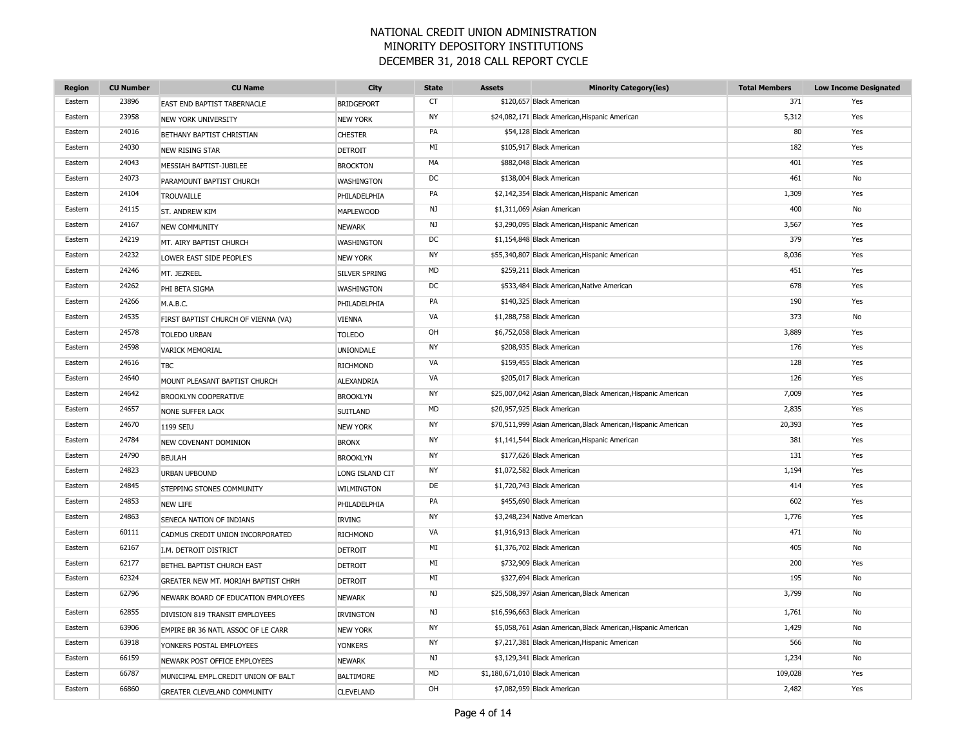| <b>Region</b> | <b>CU Number</b> | <b>CU Name</b>                      | City                 | <b>State</b> | <b>Assets</b>                  | <b>Minority Category(ies)</b>                                  | <b>Total Members</b> | <b>Low Income Designated</b> |
|---------------|------------------|-------------------------------------|----------------------|--------------|--------------------------------|----------------------------------------------------------------|----------------------|------------------------------|
| Eastern       | 23896            | <b>EAST END BAPTIST TABERNACLE</b>  | <b>BRIDGEPORT</b>    | CT           |                                | \$120,657 Black American                                       | 371                  | Yes                          |
| Eastern       | 23958            | <b>NEW YORK UNIVERSITY</b>          | <b>NEW YORK</b>      | <b>NY</b>    |                                | \$24,082,171 Black American, Hispanic American                 | 5,312                | Yes                          |
| Eastern       | 24016            | BETHANY BAPTIST CHRISTIAN           | <b>CHESTER</b>       | PA           |                                | \$54,128 Black American                                        | 80                   | Yes                          |
| Eastern       | 24030            | NEW RISING STAR                     | <b>DETROIT</b>       | MI           |                                | \$105,917 Black American                                       | 182                  | Yes                          |
| Eastern       | 24043            | MESSIAH BAPTIST-JUBILEE             | <b>BROCKTON</b>      | MA           |                                | \$882,048 Black American                                       | 401                  | Yes                          |
| Eastern       | 24073            | PARAMOUNT BAPTIST CHURCH            | <b>WASHINGTON</b>    | DC           |                                | \$138,004 Black American                                       | 461                  | No                           |
| Eastern       | 24104            | <b>TROUVAILLE</b>                   | PHILADELPHIA         | PA           |                                | \$2,142,354 Black American, Hispanic American                  | 1,309                | Yes                          |
| Eastern       | 24115            | ST. ANDREW KIM                      | <b>MAPLEWOOD</b>     | NJ           |                                | \$1,311,069 Asian American                                     | 400                  | No                           |
| Eastern       | 24167            | <b>NEW COMMUNITY</b>                | <b>NEWARK</b>        | NJ           |                                | \$3,290,095 Black American, Hispanic American                  | 3,567                | Yes                          |
| Eastern       | 24219            | MT. AIRY BAPTIST CHURCH             | WASHINGTON           | <b>DC</b>    |                                | \$1,154,848 Black American                                     | 379                  | Yes                          |
| Eastern       | 24232            | LOWER EAST SIDE PEOPLE'S            | <b>NEW YORK</b>      | <b>NY</b>    |                                | \$55,340,807 Black American, Hispanic American                 | 8,036                | Yes                          |
| Eastern       | 24246            | MT. JEZREEL                         | <b>SILVER SPRING</b> | <b>MD</b>    |                                | \$259,211 Black American                                       | 451                  | Yes                          |
| Eastern       | 24262            | PHI BETA SIGMA                      | WASHINGTON           | DC           |                                | \$533,484 Black American, Native American                      | 678                  | Yes                          |
| Eastern       | 24266            | M.A.B.C.                            | PHILADELPHIA         | PA           |                                | \$140,325 Black American                                       | 190                  | Yes                          |
| Eastern       | 24535            | FIRST BAPTIST CHURCH OF VIENNA (VA) | <b>VIENNA</b>        | VA           |                                | \$1,288,758 Black American                                     | 373                  | No                           |
| Eastern       | 24578            | <b>TOLEDO URBAN</b>                 | <b>TOLEDO</b>        | OH           |                                | \$6,752,058 Black American                                     | 3,889                | Yes                          |
| Eastern       | 24598            | <b>VARICK MEMORIAL</b>              | <b>UNIONDALE</b>     | NY           |                                | \$208,935 Black American                                       | 176                  | Yes                          |
| Eastern       | 24616            | <b>TBC</b>                          | <b>RICHMOND</b>      | VA           |                                | \$159,455 Black American                                       | 128                  | Yes                          |
| Eastern       | 24640            | MOUNT PLEASANT BAPTIST CHURCH       | ALEXANDRIA           | VA           |                                | \$205,017 Black American                                       | 126                  | Yes                          |
| Eastern       | 24642            | <b>BROOKLYN COOPERATIVE</b>         | <b>BROOKLYN</b>      | NY           |                                | \$25,007,042 Asian American, Black American, Hispanic American | 7,009                | Yes                          |
| Eastern       | 24657            | NONE SUFFER LACK                    | <b>SUITLAND</b>      | MD           |                                | \$20,957,925 Black American                                    | 2,835                | Yes                          |
| Eastern       | 24670            | 1199 SEIU                           | <b>NEW YORK</b>      | NY           |                                | \$70,511,999 Asian American, Black American, Hispanic American | 20,393               | Yes                          |
| Eastern       | 24784            | <b>NEW COVENANT DOMINION</b>        | <b>BRONX</b>         | NY           |                                | \$1,141,544 Black American, Hispanic American                  | 381                  | Yes                          |
| Eastern       | 24790            | <b>BEULAH</b>                       | <b>BROOKLYN</b>      | <b>NY</b>    |                                | \$177,626 Black American                                       | 131                  | Yes                          |
| Eastern       | 24823            | <b>URBAN UPBOUND</b>                | LONG ISLAND CIT      | NY           |                                | \$1,072,582 Black American                                     | 1,194                | Yes                          |
| Eastern       | 24845            | STEPPING STONES COMMUNITY           | WILMINGTON           | DE           |                                | \$1,720,743 Black American                                     | 414                  | Yes                          |
| Eastern       | 24853            | <b>NEW LIFE</b>                     | PHILADELPHIA         | PA           |                                | \$455,690 Black American                                       | 602                  | Yes                          |
| Eastern       | 24863            | SENECA NATION OF INDIANS            | <b>IRVING</b>        | <b>NY</b>    |                                | \$3,248,234 Native American                                    | 1,776                | Yes                          |
| Eastern       | 60111            | CADMUS CREDIT UNION INCORPORATED    | <b>RICHMOND</b>      | VA           |                                | \$1,916,913 Black American                                     | 471                  | No                           |
| Eastern       | 62167            | I.M. DETROIT DISTRICT               | <b>DETROIT</b>       | MI           |                                | \$1,376,702 Black American                                     | 405                  | <b>No</b>                    |
| Eastern       | 62177            | BETHEL BAPTIST CHURCH EAST          | <b>DETROIT</b>       | MI           |                                | \$732,909 Black American                                       | 200                  | Yes                          |
| Eastern       | 62324            | GREATER NEW MT. MORIAH BAPTIST CHRH | <b>DETROIT</b>       | MI           |                                | \$327,694 Black American                                       | 195                  | No                           |
| Eastern       | 62796            | NEWARK BOARD OF EDUCATION EMPLOYEES | <b>NEWARK</b>        | NJ           |                                | \$25,508,397 Asian American, Black American                    | 3,799                | No                           |
| Eastern       | 62855            | DIVISION 819 TRANSIT EMPLOYEES      | <b>IRVINGTON</b>     | NJ           |                                | \$16,596,663 Black American                                    | 1,761                | No                           |
| Eastern       | 63906            | EMPIRE BR 36 NATL ASSOC OF LE CARR  | <b>NEW YORK</b>      | NY           |                                | \$5,058,761 Asian American, Black American, Hispanic American  | 1,429                | No                           |
| Eastern       | 63918            | YONKERS POSTAL EMPLOYEES            | <b>YONKERS</b>       | <b>NY</b>    |                                | \$7,217,381 Black American, Hispanic American                  | 566                  | No                           |
| Eastern       | 66159            | NEWARK POST OFFICE EMPLOYEES        | <b>NEWARK</b>        | NJ           |                                | \$3,129,341 Black American                                     | 1,234                | No                           |
| Eastern       | 66787            | MUNICIPAL EMPL.CREDIT UNION OF BALT | <b>BALTIMORE</b>     | MD           | \$1,180,671,010 Black American |                                                                | 109,028              | Yes                          |
| Eastern       | 66860            | <b>GREATER CLEVELAND COMMUNITY</b>  | <b>CLEVELAND</b>     | OH           |                                | \$7,082,959 Black American                                     | 2,482                | Yes                          |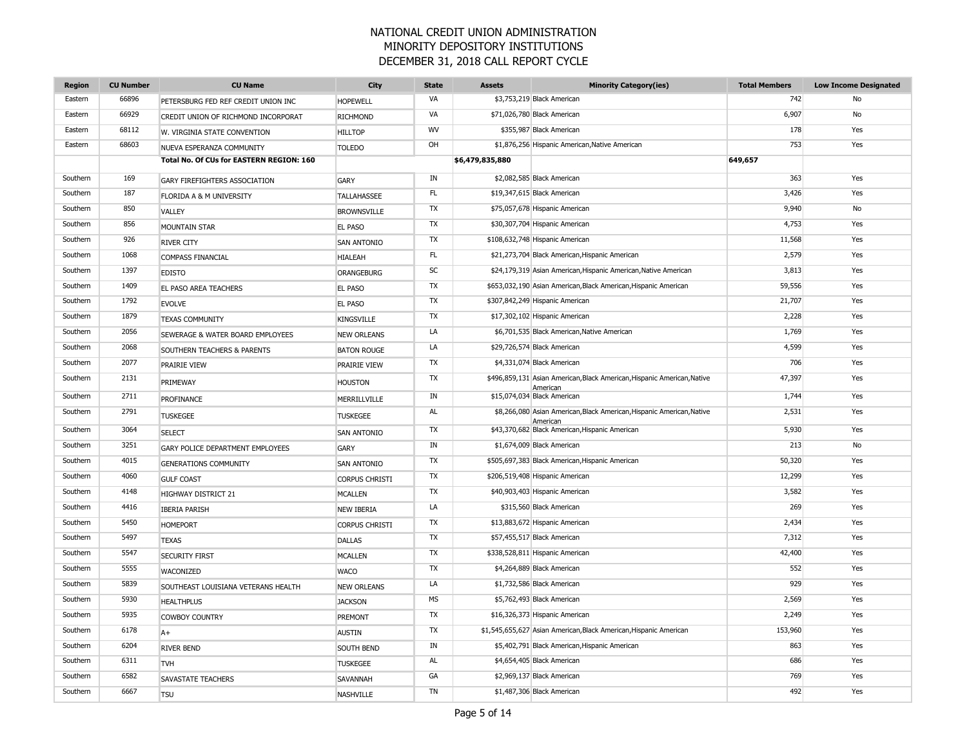| <b>Region</b> | <b>CU Number</b> | <b>CU Name</b>                           | <b>City</b>           | <b>State</b> | <b>Assets</b>   | <b>Minority Category(ies)</b>                                                       | <b>Total Members</b> | <b>Low Income Designated</b> |
|---------------|------------------|------------------------------------------|-----------------------|--------------|-----------------|-------------------------------------------------------------------------------------|----------------------|------------------------------|
| Eastern       | 66896            | PETERSBURG FED REF CREDIT UNION INC      | <b>HOPEWELL</b>       | VA           |                 | \$3,753,219 Black American                                                          | 742                  | No                           |
| Eastern       | 66929            | CREDIT UNION OF RICHMOND INCORPORAT      | <b>RICHMOND</b>       | VA           |                 | \$71,026,780 Black American                                                         | 6,907                | No                           |
| Eastern       | 68112            | W. VIRGINIA STATE CONVENTION             | <b>HILLTOP</b>        | <b>WV</b>    |                 | \$355,987 Black American                                                            | 178                  | Yes                          |
| Eastern       | 68603            | NUEVA ESPERANZA COMMUNITY                | <b>TOLEDO</b>         | OH           |                 | \$1,876,256 Hispanic American, Native American                                      | 753                  | Yes                          |
|               |                  | Total No. Of CUs for EASTERN REGION: 160 |                       |              | \$6,479,835,880 |                                                                                     | 649,657              |                              |
| Southern      | 169              | GARY FIREFIGHTERS ASSOCIATION            | <b>GARY</b>           | IN           |                 | \$2,082,585 Black American                                                          | 363                  | Yes                          |
| Southern      | 187              | FLORIDA A & M UNIVERSITY                 | <b>TALLAHASSEE</b>    | FL.          |                 | \$19,347,615 Black American                                                         | 3,426                | Yes                          |
| Southern      | 850              | VALLEY                                   | <b>BROWNSVILLE</b>    | <b>TX</b>    |                 | \$75,057,678 Hispanic American                                                      | 9,940                | No                           |
| Southern      | 856              | <b>MOUNTAIN STAR</b>                     | <b>EL PASO</b>        | TX           |                 | \$30,307,704 Hispanic American                                                      | 4,753                | Yes                          |
| Southern      | 926              | <b>RIVER CITY</b>                        | <b>SAN ANTONIO</b>    | TX           |                 | \$108,632,748 Hispanic American                                                     | 11,568               | Yes                          |
| Southern      | 1068             | COMPASS FINANCIAL                        | <b>HIALEAH</b>        | FL           |                 | \$21,273,704 Black American, Hispanic American                                      | 2,579                | Yes                          |
| Southern      | 1397             | <b>EDISTO</b>                            | ORANGEBURG            | SC           |                 | \$24,179,319 Asian American, Hispanic American, Native American                     | 3,813                | Yes                          |
| Southern      | 1409             | EL PASO AREA TEACHERS                    | <b>EL PASO</b>        | TX           |                 | \$653,032,190 Asian American, Black American, Hispanic American                     | 59,556               | Yes                          |
| Southern      | 1792             | <b>EVOLVE</b>                            | <b>EL PASO</b>        | TX           |                 | \$307,842,249 Hispanic American                                                     | 21,707               | Yes                          |
| Southern      | 1879             | <b>TEXAS COMMUNITY</b>                   | <b>KINGSVILLE</b>     | TX           |                 | \$17,302,102 Hispanic American                                                      | 2,228                | Yes                          |
| Southern      | 2056             | SEWERAGE & WATER BOARD EMPLOYEES         | <b>NEW ORLEANS</b>    | LA           |                 | \$6,701,535 Black American, Native American                                         | 1,769                | Yes                          |
| Southern      | 2068             | SOUTHERN TEACHERS & PARENTS              | <b>BATON ROUGE</b>    | LA           |                 | \$29,726,574 Black American                                                         | 4,599                | Yes                          |
| Southern      | 2077             | <b>PRAIRIE VIEW</b>                      | <b>PRAIRIE VIEW</b>   | TX           |                 | \$4,331,074 Black American                                                          | 706                  | Yes                          |
| Southern      | 2131             | PRIMEWAY                                 | <b>HOUSTON</b>        | TX           |                 | \$496,859,131 Asian American, Black American, Hispanic American, Native<br>American | 47,397               | Yes                          |
| Southern      | 2711             | <b>PROFINANCE</b>                        | MERRILLVILLE          | IN           |                 | \$15,074,034 Black American                                                         | 1,744                | Yes                          |
| Southern      | 2791             | <b>TUSKEGEE</b>                          | <b>TUSKEGEE</b>       | AL           |                 | \$8,266,080 Asian American, Black American, Hispanic American, Native<br>American   | 2,531                | Yes                          |
| Southern      | 3064             | <b>SELECT</b>                            | <b>SAN ANTONIO</b>    | <b>TX</b>    |                 | \$43,370,682 Black American, Hispanic American                                      | 5,930                | Yes                          |
| Southern      | 3251             | GARY POLICE DEPARTMENT EMPLOYEES         | GARY                  | IN           |                 | \$1,674,009 Black American                                                          | 213                  | No                           |
| Southern      | 4015             | <b>GENERATIONS COMMUNITY</b>             | SAN ANTONIO           | TX           |                 | \$505,697,383 Black American, Hispanic American                                     | 50,320               | Yes                          |
| Southern      | 4060             | <b>GULF COAST</b>                        | <b>CORPUS CHRISTI</b> | TX           |                 | \$206,519,408 Hispanic American                                                     | 12,299               | Yes                          |
| Southern      | 4148             | HIGHWAY DISTRICT 21                      | <b>MCALLEN</b>        | TX           |                 | \$40,903,403 Hispanic American                                                      | 3,582                | Yes                          |
| Southern      | 4416             | <b>IBERIA PARISH</b>                     | <b>NEW IBERIA</b>     | LA           |                 | \$315,560 Black American                                                            | 269                  | Yes                          |
| Southern      | 5450             | <b>HOMEPORT</b>                          | <b>CORPUS CHRISTI</b> | TX           |                 | \$13,883,672 Hispanic American                                                      | 2,434                | Yes                          |
| Southern      | 5497             | <b>TEXAS</b>                             | <b>DALLAS</b>         | TX           |                 | \$57,455,517 Black American                                                         | 7,312                | Yes                          |
| Southern      | 5547             | <b>SECURITY FIRST</b>                    | <b>MCALLEN</b>        | TX           |                 | \$338,528,811 Hispanic American                                                     | 42,400               | Yes                          |
| Southern      | 5555             | WACONIZED                                | <b>WACO</b>           | TX           |                 | \$4,264,889 Black American                                                          | 552                  | Yes                          |
| Southern      | 5839             | SOUTHEAST LOUISIANA VETERANS HEALTH      | <b>NEW ORLEANS</b>    | LA           |                 | \$1,732,586 Black American                                                          | 929                  | Yes                          |
| Southern      | 5930             | <b>HEALTHPLUS</b>                        | <b>JACKSON</b>        | MS           |                 | \$5,762,493 Black American                                                          | 2,569                | Yes                          |
| Southern      | 5935             | <b>COWBOY COUNTRY</b>                    | PREMONT               | TX           |                 | \$16,326,373 Hispanic American                                                      | 2,249                | Yes                          |
| Southern      | 6178             | $A+$                                     | <b>AUSTIN</b>         | TX           |                 | \$1,545,655,627 Asian American, Black American, Hispanic American                   | 153,960              | Yes                          |
| Southern      | 6204             | <b>RIVER BEND</b>                        | SOUTH BEND            | IN           |                 | \$5,402,791 Black American, Hispanic American                                       | 863                  | Yes                          |
| Southern      | 6311             | <b>TVH</b>                               | <b>TUSKEGEE</b>       | AL           |                 | \$4,654,405 Black American                                                          | 686                  | Yes                          |
| Southern      | 6582             | SAVASTATE TEACHERS                       | SAVANNAH              | GA           |                 | \$2,969,137 Black American                                                          | 769                  | Yes                          |
| Southern      | 6667             | <b>TSU</b>                               | <b>NASHVILLE</b>      | <b>TN</b>    |                 | \$1,487,306 Black American                                                          | 492                  | Yes                          |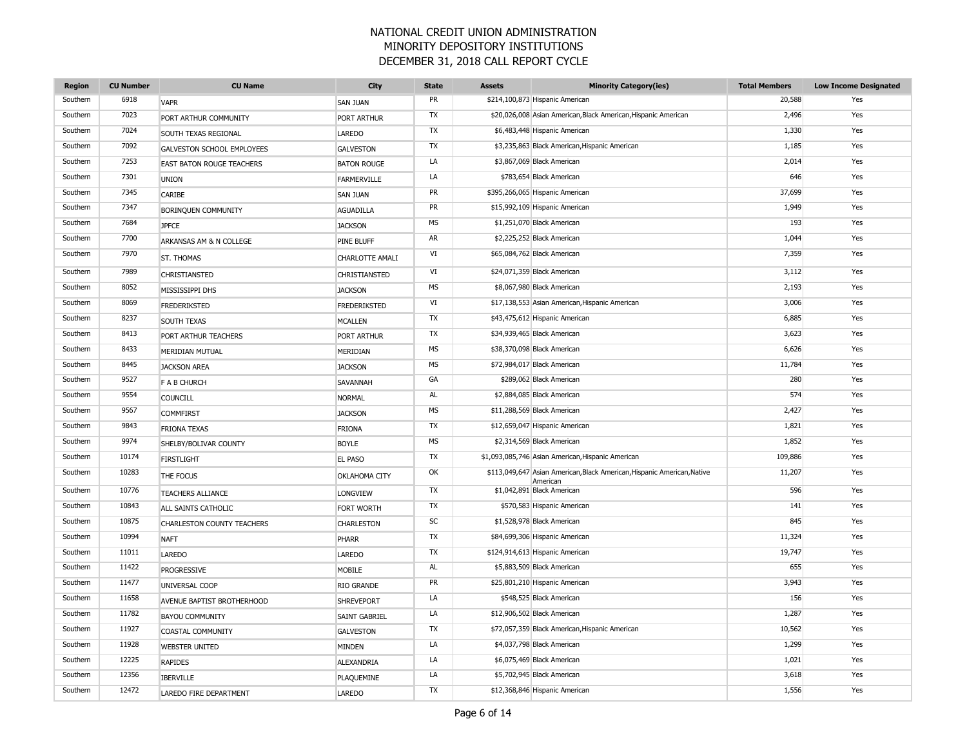| <b>Region</b> | <b>CU Number</b> | <b>CU Name</b>                    | City                 | <b>State</b> | <b>Assets</b> | <b>Minority Category(ies)</b>                                                       | <b>Total Members</b> | <b>Low Income Designated</b> |
|---------------|------------------|-----------------------------------|----------------------|--------------|---------------|-------------------------------------------------------------------------------------|----------------------|------------------------------|
| Southern      | 6918             | <b>VAPR</b>                       | <b>SAN JUAN</b>      | PR           |               | \$214,100,873 Hispanic American                                                     | 20,588               | Yes                          |
| Southern      | 7023             | PORT ARTHUR COMMUNITY             | <b>PORT ARTHUR</b>   | TX           |               | \$20,026,008 Asian American, Black American, Hispanic American                      | 2,496                | Yes                          |
| Southern      | 7024             | SOUTH TEXAS REGIONAL              | <b>LAREDO</b>        | <b>TX</b>    |               | \$6,483,448 Hispanic American                                                       | 1,330                | Yes                          |
| Southern      | 7092             | <b>GALVESTON SCHOOL EMPLOYEES</b> | <b>GALVESTON</b>     | <b>TX</b>    |               | \$3,235,863 Black American, Hispanic American                                       | 1,185                | Yes                          |
| Southern      | 7253             | <b>EAST BATON ROUGE TEACHERS</b>  | <b>BATON ROUGE</b>   | LA           |               | \$3,867,069 Black American                                                          | 2,014                | Yes                          |
| Southern      | 7301             | <b>UNION</b>                      | FARMERVILLE          | LA           |               | \$783,654 Black American                                                            | 646                  | Yes                          |
| Southern      | 7345             | CARIBE                            | <b>SAN JUAN</b>      | PR           |               | \$395,266,065 Hispanic American                                                     | 37,699               | Yes                          |
| Southern      | 7347             | BORINQUEN COMMUNITY               | <b>AGUADILLA</b>     | PR           |               | \$15,992,109 Hispanic American                                                      | 1,949                | Yes                          |
| Southern      | 7684             | <b>JPFCE</b>                      | <b>JACKSON</b>       | <b>MS</b>    |               | \$1,251,070 Black American                                                          | 193                  | Yes                          |
| Southern      | 7700             | ARKANSAS AM & N COLLEGE           | PINE BLUFF           | AR           |               | \$2,225,252 Black American                                                          | 1,044                | Yes                          |
| Southern      | 7970             | ST. THOMAS                        | CHARLOTTE AMALI      | VI           |               | \$65,084,762 Black American                                                         | 7,359                | Yes                          |
| Southern      | 7989             | CHRISTIANSTED                     | CHRISTIANSTED        | VI           |               | \$24,071,359 Black American                                                         | 3,112                | Yes                          |
| Southern      | 8052             | MISSISSIPPI DHS                   | <b>JACKSON</b>       | <b>MS</b>    |               | \$8,067,980 Black American                                                          | 2,193                | Yes                          |
| Southern      | 8069             | <b>FREDERIKSTED</b>               | <b>FREDERIKSTED</b>  | VI           |               | \$17,138,553 Asian American, Hispanic American                                      | 3,006                | Yes                          |
| Southern      | 8237             | SOUTH TEXAS                       | <b>MCALLEN</b>       | TX           |               | \$43,475,612 Hispanic American                                                      | 6,885                | Yes                          |
| Southern      | 8413             | PORT ARTHUR TEACHERS              | PORT ARTHUR          | TX           |               | \$34,939,465 Black American                                                         | 3,623                | Yes                          |
| Southern      | 8433             | <b>MERIDIAN MUTUAL</b>            | MERIDIAN             | MS           |               | \$38,370,098 Black American                                                         | 6,626                | Yes                          |
| Southern      | 8445             | <b>JACKSON AREA</b>               | <b>JACKSON</b>       | MS           |               | \$72,984,017 Black American                                                         | 11,784               | Yes                          |
| Southern      | 9527             | <b>F A B CHURCH</b>               | SAVANNAH             | GA           |               | \$289,062 Black American                                                            | 280                  | Yes                          |
| Southern      | 9554             | <b>COUNCILL</b>                   | <b>NORMAL</b>        | AL           |               | \$2,884,085 Black American                                                          | 574                  | Yes                          |
| Southern      | 9567             | <b>COMMFIRST</b>                  | <b>JACKSON</b>       | MS           |               | \$11,288,569 Black American                                                         | 2,427                | Yes                          |
| Southern      | 9843             | <b>FRIONA TEXAS</b>               | <b>FRIONA</b>        | TX           |               | \$12,659,047 Hispanic American                                                      | 1,821                | Yes                          |
| Southern      | 9974             | SHELBY/BOLIVAR COUNTY             | <b>BOYLE</b>         | MS           |               | \$2,314,569 Black American                                                          | 1,852                | Yes                          |
| Southern      | 10174            | <b>FIRSTLIGHT</b>                 | <b>EL PASO</b>       | TX           |               | \$1,093,085,746 Asian American, Hispanic American                                   | 109,886              | Yes                          |
| Southern      | 10283            | THE FOCUS                         | OKLAHOMA CITY        | OK           |               | \$113,049,647 Asian American, Black American, Hispanic American, Native<br>Americar | 11,207               | Yes                          |
| Southern      | 10776            | <b>TEACHERS ALLIANCE</b>          | <b>LONGVIEW</b>      | TX           |               | \$1,042,891 Black American                                                          | 596                  | Yes                          |
| Southern      | 10843            | ALL SAINTS CATHOLIC               | FORT WORTH           | TX           |               | \$570,583 Hispanic American                                                         | 141                  | Yes                          |
| Southern      | 10875            | <b>CHARLESTON COUNTY TEACHERS</b> | <b>CHARLESTON</b>    | SC           |               | \$1,528,978 Black American                                                          | 845                  | Yes                          |
| Southern      | 10994            | <b>NAFT</b>                       | PHARR                | <b>TX</b>    |               | \$84,699,306 Hispanic American                                                      | 11,324               | Yes                          |
| Southern      | 11011            | <b>LAREDO</b>                     | <b>LAREDO</b>        | TX           |               | \$124,914,613 Hispanic American                                                     | 19,747               | Yes                          |
| Southern      | 11422            | PROGRESSIVE                       | MOBILE               | AL           |               | \$5,883,509 Black American                                                          | 655                  | Yes                          |
| Southern      | 11477            | UNIVERSAL COOP                    | RIO GRANDE           | PR           |               | \$25,801,210 Hispanic American                                                      | 3,943                | Yes                          |
| Southern      | 11658            | AVENUE BAPTIST BROTHERHOOD        | <b>SHREVEPORT</b>    | LA           |               | \$548,525 Black American                                                            | 156                  | Yes                          |
| Southern      | 11782            | <b>BAYOU COMMUNITY</b>            | <b>SAINT GABRIEL</b> | LA           |               | \$12,906,502 Black American                                                         | 1,287                | Yes                          |
| Southern      | 11927            | <b>COASTAL COMMUNITY</b>          | <b>GALVESTON</b>     | <b>TX</b>    |               | \$72,057,359 Black American, Hispanic American                                      | 10,562               | Yes                          |
| Southern      | 11928            | <b>WEBSTER UNITED</b>             | MINDEN               | LA           |               | \$4,037,798 Black American                                                          | 1,299                | Yes                          |
| Southern      | 12225            | <b>RAPIDES</b>                    | ALEXANDRIA           | LA           |               | \$6,075,469 Black American                                                          | 1,021                | Yes                          |
| Southern      | 12356            | <b>IBERVILLE</b>                  | PLAQUEMINE           | LA           |               | \$5,702,945 Black American                                                          | 3,618                | Yes                          |
| Southern      | 12472            | LAREDO FIRE DEPARTMENT            | <b>LAREDO</b>        | <b>TX</b>    |               | \$12,368,846 Hispanic American                                                      | 1,556                | Yes                          |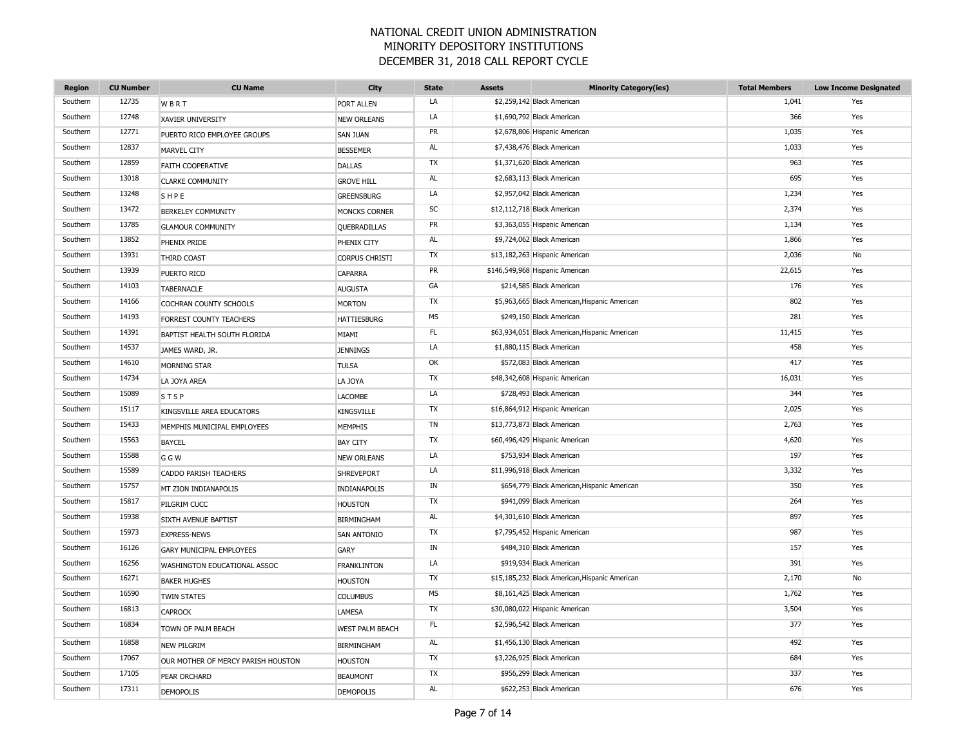| <b>Region</b> | <b>CU Number</b> | <b>CU Name</b>                     | City                   | <b>State</b> | <b>Assets</b> | <b>Minority Category(ies)</b>                  | <b>Total Members</b> | <b>Low Income Designated</b> |
|---------------|------------------|------------------------------------|------------------------|--------------|---------------|------------------------------------------------|----------------------|------------------------------|
| Southern      | 12735            | WBRT                               | <b>PORT ALLEN</b>      | LA           |               | \$2,259,142 Black American                     | 1,041                | Yes                          |
| Southern      | 12748            | <b>XAVIER UNIVERSITY</b>           | <b>NEW ORLEANS</b>     | LA           |               | \$1,690,792 Black American                     | 366                  | Yes                          |
| Southern      | 12771            | PUERTO RICO EMPLOYEE GROUPS        | <b>SAN JUAN</b>        | PR           |               | \$2,678,806 Hispanic American                  | 1,035                | Yes                          |
| Southern      | 12837            | MARVEL CITY                        | <b>BESSEMER</b>        | AL           |               | \$7,438,476 Black American                     | 1,033                | Yes                          |
| Southern      | 12859            | FAITH COOPERATIVE                  | <b>DALLAS</b>          | TX           |               | \$1,371,620 Black American                     | 963                  | Yes                          |
| Southern      | 13018            | <b>CLARKE COMMUNITY</b>            | <b>GROVE HILL</b>      | AL           |               | \$2,683,113 Black American                     | 695                  | Yes                          |
| Southern      | 13248            | SHPE                               | <b>GREENSBURG</b>      | LA           |               | \$2,957,042 Black American                     | 1,234                | Yes                          |
| Southern      | 13472            | <b>BERKELEY COMMUNITY</b>          | MONCKS CORNER          | SC           |               | \$12,112,718 Black American                    | 2,374                | Yes                          |
| Southern      | 13785            | <b>GLAMOUR COMMUNITY</b>           | QUEBRADILLAS           | PR           |               | \$3,363,055 Hispanic American                  | 1,134                | Yes                          |
| Southern      | 13852            | PHENIX PRIDE                       | PHENIX CITY            | AL           |               | \$9,724,062 Black American                     | 1,866                | Yes                          |
| Southern      | 13931            | THIRD COAST                        | <b>CORPUS CHRISTI</b>  | TX           |               | \$13,182,263 Hispanic American                 | 2,036                | No                           |
| Southern      | 13939            | PUERTO RICO                        | <b>CAPARRA</b>         | PR           |               | \$146,549,968 Hispanic American                | 22,615               | Yes                          |
| Southern      | 14103            | <b>TABERNACLE</b>                  | <b>AUGUSTA</b>         | GA           |               | \$214,585 Black American                       | 176                  | Yes                          |
| Southern      | 14166            | COCHRAN COUNTY SCHOOLS             | <b>MORTON</b>          | TX           |               | \$5,963,665 Black American, Hispanic American  | 802                  | Yes                          |
| Southern      | 14193            | FORREST COUNTY TEACHERS            | <b>HATTIESBURG</b>     | <b>MS</b>    |               | \$249,150 Black American                       | 281                  | Yes                          |
| Southern      | 14391            | BAPTIST HEALTH SOUTH FLORIDA       | MIAMI                  | FL           |               | \$63,934,051 Black American, Hispanic American | 11,415               | Yes                          |
| Southern      | 14537            | JAMES WARD, JR.                    | <b>JENNINGS</b>        | LA           |               | \$1,880,115 Black American                     | 458                  | Yes                          |
| Southern      | 14610            | MORNING STAR                       | <b>TULSA</b>           | OK           |               | \$572,083 Black American                       | 417                  | Yes                          |
| Southern      | 14734            | LA JOYA AREA                       | LA JOYA                | TX           |               | \$48,342,608 Hispanic American                 | 16,031               | Yes                          |
| Southern      | 15089            | <b>STSP</b>                        | <b>LACOMBE</b>         | LA           |               | \$728,493 Black American                       | 344                  | Yes                          |
| Southern      | 15117            | KINGSVILLE AREA EDUCATORS          | <b>KINGSVILLE</b>      | TX           |               | \$16,864,912 Hispanic American                 | 2,025                | Yes                          |
| Southern      | 15433            | MEMPHIS MUNICIPAL EMPLOYEES        | <b>MEMPHIS</b>         | <b>TN</b>    |               | \$13,773,873 Black American                    | 2,763                | Yes                          |
| Southern      | 15563            | <b>BAYCEL</b>                      | <b>BAY CITY</b>        | <b>TX</b>    |               | \$60,496,429 Hispanic American                 | 4,620                | Yes                          |
| Southern      | 15588            | G G W                              | <b>NEW ORLEANS</b>     | LA           |               | \$753,934 Black American                       | 197                  | Yes                          |
| Southern      | 15589            | <b>CADDO PARISH TEACHERS</b>       | <b>SHREVEPORT</b>      | LA           |               | \$11,996,918 Black American                    | 3,332                | Yes                          |
| Southern      | 15757            | MT ZION INDIANAPOLIS               | INDIANAPOLIS           | IN           |               | \$654,779 Black American, Hispanic American    | 350                  | Yes                          |
| Southern      | 15817            | PILGRIM CUCC                       | <b>HOUSTON</b>         | TX           |               | \$941,099 Black American                       | 264                  | Yes                          |
| Southern      | 15938            | SIXTH AVENUE BAPTIST               | <b>BIRMINGHAM</b>      | <b>AL</b>    |               | \$4,301,610 Black American                     | 897                  | Yes                          |
| Southern      | 15973            | <b>EXPRESS-NEWS</b>                | <b>SAN ANTONIO</b>     | TX           |               | \$7,795,452 Hispanic American                  | 987                  | Yes                          |
| Southern      | 16126            | <b>GARY MUNICIPAL EMPLOYEES</b>    | <b>GARY</b>            | IN           |               | \$484,310 Black American                       | 157                  | Yes                          |
| Southern      | 16256            | WASHINGTON EDUCATIONAL ASSOC       | <b>FRANKLINTON</b>     | LA           |               | \$919,934 Black American                       | 391                  | Yes                          |
| Southern      | 16271            | <b>BAKER HUGHES</b>                | <b>HOUSTON</b>         | TX           |               | \$15,185,232 Black American, Hispanic American | 2,170                | No                           |
| Southern      | 16590            | <b>TWIN STATES</b>                 | <b>COLUMBUS</b>        | <b>MS</b>    |               | \$8,161,425 Black American                     | 1,762                | Yes                          |
| Southern      | 16813            | <b>CAPROCK</b>                     | <b>LAMESA</b>          | TX           |               | \$30,080,022 Hispanic American                 | 3,504                | Yes                          |
| Southern      | 16834            | TOWN OF PALM BEACH                 | <b>WEST PALM BEACH</b> | FL.          |               | \$2,596,542 Black American                     | 377                  | Yes                          |
| Southern      | 16858            | <b>NEW PILGRIM</b>                 | <b>BIRMINGHAM</b>      | <b>AL</b>    |               | \$1,456,130 Black American                     | 492                  | Yes                          |
| Southern      | 17067            | OUR MOTHER OF MERCY PARISH HOUSTON | <b>HOUSTON</b>         | TX           |               | \$3,226,925 Black American                     | 684                  | Yes                          |
| Southern      | 17105            | PEAR ORCHARD                       | <b>BEAUMONT</b>        | TX           |               | \$956,299 Black American                       | 337                  | Yes                          |
| Southern      | 17311            | <b>DEMOPOLIS</b>                   | <b>DEMOPOLIS</b>       | AL           |               | \$622,253 Black American                       | 676                  | Yes                          |
|               |                  |                                    |                        |              |               |                                                |                      |                              |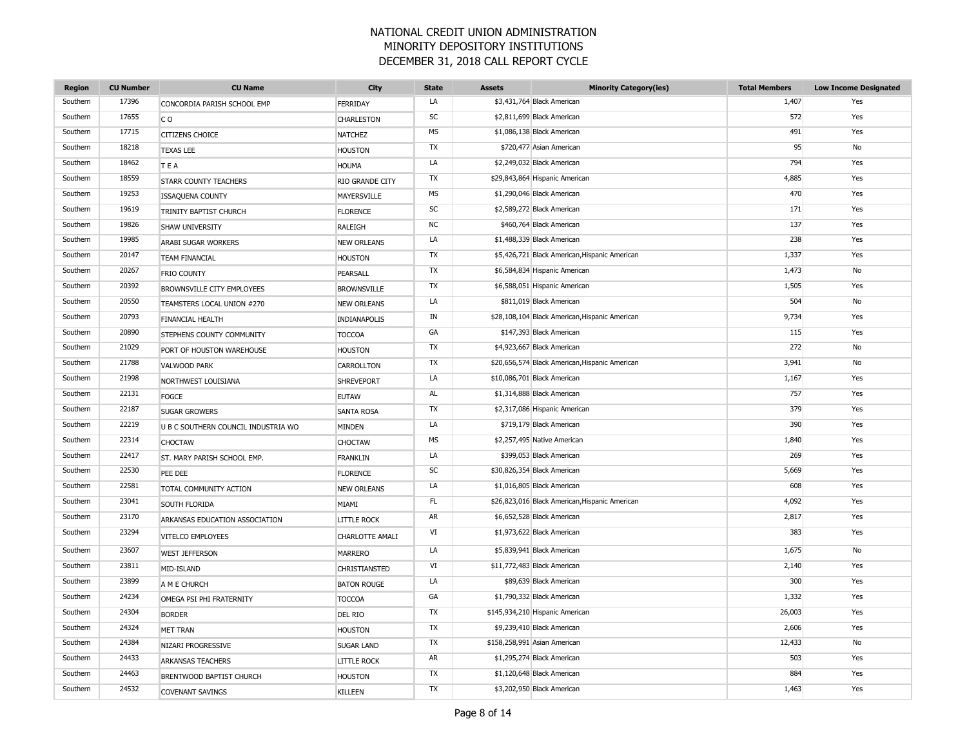| <b>Region</b> | <b>CU Number</b> | <b>CU Name</b>                      | City                   | <b>State</b> | <b>Assets</b> | <b>Minority Category(ies)</b>                  | <b>Total Members</b> | <b>Low Income Designated</b> |
|---------------|------------------|-------------------------------------|------------------------|--------------|---------------|------------------------------------------------|----------------------|------------------------------|
| Southern      | 17396            | CONCORDIA PARISH SCHOOL EMP         | FERRIDAY               | LA           |               | \$3,431,764 Black American                     | 1,407                | Yes                          |
| Southern      | 17655            | C <sub>O</sub>                      | <b>CHARLESTON</b>      | SC           |               | \$2,811,699 Black American                     | 572                  | Yes                          |
| Southern      | 17715            | <b>CITIZENS CHOICE</b>              | <b>NATCHEZ</b>         | <b>MS</b>    |               | \$1,086,138 Black American                     | 491                  | Yes                          |
| Southern      | 18218            | <b>TEXAS LEE</b>                    | <b>HOUSTON</b>         | TX           |               | \$720,477 Asian American                       | 95                   | No                           |
| Southern      | 18462            | TEA                                 | <b>HOUMA</b>           | LA           |               | \$2,249,032 Black American                     | 794                  | Yes                          |
| Southern      | 18559            | <b>STARR COUNTY TEACHERS</b>        | <b>RIO GRANDE CITY</b> | TX           |               | \$29,843,864 Hispanic American                 | 4,885                | Yes                          |
| Southern      | 19253            | <b>ISSAQUENA COUNTY</b>             | MAYERSVILLE            | <b>MS</b>    |               | \$1,290,046 Black American                     | 470                  | Yes                          |
| Southern      | 19619            | TRINITY BAPTIST CHURCH              | <b>FLORENCE</b>        | SC           |               | \$2,589,272 Black American                     | 171                  | Yes                          |
| Southern      | 19826            | <b>SHAW UNIVERSITY</b>              | RALEIGH                | <b>NC</b>    |               | \$460,764 Black American                       | 137                  | Yes                          |
| Southern      | 19985            | ARABI SUGAR WORKERS                 | <b>NEW ORLEANS</b>     | LA           |               | \$1,488,339 Black American                     | 238                  | Yes                          |
| Southern      | 20147            | <b>TEAM FINANCIAL</b>               | <b>HOUSTON</b>         | TX           |               | \$5,426,721 Black American, Hispanic American  | 1,337                | Yes                          |
| Southern      | 20267            | FRIO COUNTY                         | PEARSALL               | <b>TX</b>    |               | \$6,584,834 Hispanic American                  | 1,473                | No                           |
| Southern      | 20392            | BROWNSVILLE CITY EMPLOYEES          | <b>BROWNSVILLE</b>     | <b>TX</b>    |               | \$6,588,051 Hispanic American                  | 1,505                | Yes                          |
| Southern      | 20550            | TEAMSTERS LOCAL UNION #270          | <b>NEW ORLEANS</b>     | LA           |               | \$811,019 Black American                       | 504                  | No                           |
| Southern      | 20793            | FINANCIAL HEALTH                    | INDIANAPOLIS           | IN           |               | \$28,108,104 Black American, Hispanic American | 9,734                | Yes                          |
| Southern      | 20890            | STEPHENS COUNTY COMMUNITY           | <b>TOCCOA</b>          | GA           |               | \$147,393 Black American                       | 115                  | Yes                          |
| Southern      | 21029            | PORT OF HOUSTON WAREHOUSE           | <b>HOUSTON</b>         | TX           |               | \$4,923,667 Black American                     | 272                  | No                           |
| Southern      | 21788            | <b>VALWOOD PARK</b>                 | <b>CARROLLTON</b>      | TX           |               | \$20,656,574 Black American, Hispanic American | 3,941                | No                           |
| Southern      | 21998            | NORTHWEST LOUISIANA                 | <b>SHREVEPORT</b>      | LA           |               | \$10,086,701 Black American                    | 1,167                | Yes                          |
| Southern      | 22131            | <b>FOGCE</b>                        | <b>EUTAW</b>           | AL           |               | \$1,314,888 Black American                     | 757                  | Yes                          |
| Southern      | 22187            | <b>SUGAR GROWERS</b>                | <b>SANTA ROSA</b>      | TX           |               | \$2,317,086 Hispanic American                  | 379                  | Yes                          |
| Southern      | 22219            | U B C SOUTHERN COUNCIL INDUSTRIA WO | <b>MINDEN</b>          | LA           |               | \$719,179 Black American                       | 390                  | Yes                          |
| Southern      | 22314            | <b>CHOCTAW</b>                      | <b>CHOCTAW</b>         | MS           |               | \$2,257,495 Native American                    | 1,840                | Yes                          |
| Southern      | 22417            | ST. MARY PARISH SCHOOL EMP.         | <b>FRANKLIN</b>        | LA           |               | \$399,053 Black American                       | 269                  | Yes                          |
| Southern      | 22530            | PEE DEE                             | <b>FLORENCE</b>        | SC           |               | \$30,826,354 Black American                    | 5,669                | Yes                          |
| Southern      | 22581            | TOTAL COMMUNITY ACTION              | <b>NEW ORLEANS</b>     | LA           |               | \$1,016,805 Black American                     | 608                  | Yes                          |
| Southern      | 23041            | SOUTH FLORIDA                       | MIAMI                  | FL           |               | \$26,823,016 Black American, Hispanic American | 4,092                | Yes                          |
| Southern      | 23170            | ARKANSAS EDUCATION ASSOCIATION      | <b>LITTLE ROCK</b>     | AR           |               | \$6,652,528 Black American                     | 2,817                | Yes                          |
| Southern      | 23294            | VITELCO EMPLOYEES                   | CHARLOTTE AMALI        | VI           |               | \$1,973,622 Black American                     | 383                  | Yes                          |
| Southern      | 23607            | <b>WEST JEFFERSON</b>               | <b>MARRERO</b>         | LA           |               | \$5,839,941 Black American                     | 1,675                | No                           |
| Southern      | 23811            | MID-ISLAND                          | CHRISTIANSTED          | VI           |               | \$11,772,483 Black American                    | 2,140                | Yes                          |
| Southern      | 23899            | A M E CHURCH                        | <b>BATON ROUGE</b>     | LA           |               | \$89,639 Black American                        | 300                  | Yes                          |
| Southern      | 24234            | OMEGA PSI PHI FRATERNITY            | <b>TOCCOA</b>          | GA           |               | \$1,790,332 Black American                     | 1,332                | Yes                          |
| Southern      | 24304            | <b>BORDER</b>                       | <b>DEL RIO</b>         | TX           |               | \$145,934,210 Hispanic American                | 26,003               | Yes                          |
| Southern      | 24324            | <b>MET TRAN</b>                     | <b>HOUSTON</b>         | TX           |               | \$9,239,410 Black American                     | 2,606                | Yes                          |
| Southern      | 24384            | NIZARI PROGRESSIVE                  | <b>SUGAR LAND</b>      | <b>TX</b>    |               | \$158,258,991 Asian American                   | 12,433               | No                           |
| Southern      | 24433            | <b>ARKANSAS TEACHERS</b>            | <b>LITTLE ROCK</b>     | AR           |               | \$1,295,274 Black American                     | 503                  | Yes                          |
| Southern      | 24463            | BRENTWOOD BAPTIST CHURCH            | <b>HOUSTON</b>         | TX           |               | \$1,120,648 Black American                     | 884                  | Yes                          |
| Southern      | 24532            | <b>COVENANT SAVINGS</b>             | <b>KILLEEN</b>         | <b>TX</b>    |               | \$3,202,950 Black American                     | 1,463                | Yes                          |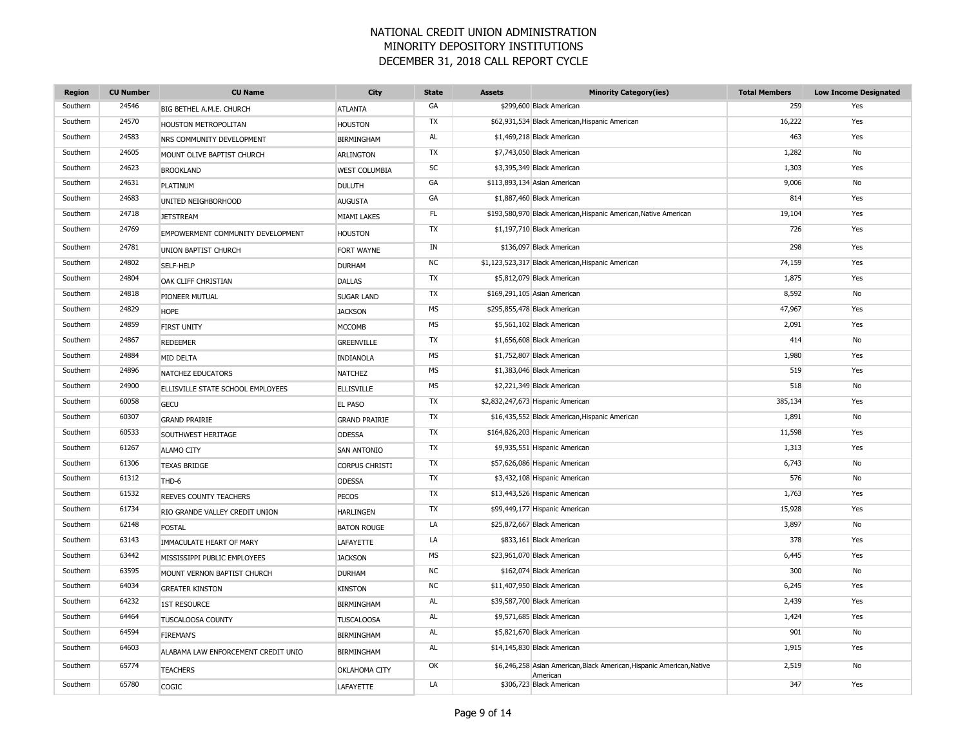| <b>Region</b> | <b>CU Number</b> | <b>CU Name</b>                      | <b>City</b>           | <b>State</b> | <b>Assets</b> | <b>Minority Category(ies)</b>                                                     | <b>Total Members</b> | <b>Low Income Designated</b> |
|---------------|------------------|-------------------------------------|-----------------------|--------------|---------------|-----------------------------------------------------------------------------------|----------------------|------------------------------|
| Southern      | 24546            | BIG BETHEL A.M.E. CHURCH            | <b>ATLANTA</b>        | GA           |               | \$299,600 Black American                                                          | 259                  | Yes                          |
| Southern      | 24570            | HOUSTON METROPOLITAN                | <b>HOUSTON</b>        | TX           |               | \$62,931,534 Black American, Hispanic American                                    | 16,222               | Yes                          |
| Southern      | 24583            | NRS COMMUNITY DEVELOPMENT           | <b>BIRMINGHAM</b>     | AL           |               | \$1,469,218 Black American                                                        | 463                  | Yes                          |
| Southern      | 24605            | MOUNT OLIVE BAPTIST CHURCH          | <b>ARLINGTON</b>      | TX           |               | \$7,743,050 Black American                                                        | 1,282                | No                           |
| Southern      | 24623            | <b>BROOKLAND</b>                    | <b>WEST COLUMBIA</b>  | <b>SC</b>    |               | \$3,395,349 Black American                                                        | 1,303                | Yes                          |
| Southern      | 24631            | PLATINUM                            | <b>DULUTH</b>         | GA           |               | \$113,893,134 Asian American                                                      | 9,006                | No                           |
| Southern      | 24683            | UNITED NEIGHBORHOOD                 | <b>AUGUSTA</b>        | GA           |               | \$1,887,460 Black American                                                        | 814                  | Yes                          |
| Southern      | 24718            | <b>JETSTREAM</b>                    | <b>MIAMI LAKES</b>    | <b>FL</b>    |               | \$193,580,970 Black American, Hispanic American, Native American                  | 19,104               | Yes                          |
| Southern      | 24769            | EMPOWERMENT COMMUNITY DEVELOPMENT   | <b>HOUSTON</b>        | TX           |               | \$1,197,710 Black American                                                        | 726                  | Yes                          |
| Southern      | 24781            | UNION BAPTIST CHURCH                | FORT WAYNE            | IN           |               | \$136,097 Black American                                                          | 298                  | Yes                          |
| Southern      | 24802            | SELF-HELP                           | <b>DURHAM</b>         | <b>NC</b>    |               | \$1,123,523,317 Black American, Hispanic American                                 | 74,159               | Yes                          |
| Southern      | 24804            | OAK CLIFF CHRISTIAN                 | <b>DALLAS</b>         | TX           |               | \$5,812,079 Black American                                                        | 1,875                | Yes                          |
| Southern      | 24818            | PIONEER MUTUAL                      | <b>SUGAR LAND</b>     | TX           |               | \$169,291,105 Asian American                                                      | 8,592                | No                           |
| Southern      | 24829            | <b>HOPE</b>                         | <b>JACKSON</b>        | <b>MS</b>    |               | \$295,855,478 Black American                                                      | 47,967               | Yes                          |
| Southern      | 24859            | <b>FIRST UNITY</b>                  | <b>MCCOMB</b>         | MS           |               | \$5,561,102 Black American                                                        | 2,091                | Yes                          |
| Southern      | 24867            | <b>REDEEMER</b>                     | <b>GREENVILLE</b>     | TX           |               | \$1,656,608 Black American                                                        | 414                  | No                           |
| Southern      | 24884            | MID DELTA                           | INDIANOLA             | <b>MS</b>    |               | \$1,752,807 Black American                                                        | 1,980                | Yes                          |
| Southern      | 24896            | NATCHEZ EDUCATORS                   | <b>NATCHEZ</b>        | MS           |               | \$1,383,046 Black American                                                        | 519                  | Yes                          |
| Southern      | 24900            | ELLISVILLE STATE SCHOOL EMPLOYEES   | <b>ELLISVILLE</b>     | <b>MS</b>    |               | \$2,221,349 Black American                                                        | 518                  | <b>No</b>                    |
| Southern      | 60058            | <b>GECU</b>                         | <b>EL PASO</b>        | TX           |               | \$2,832,247,673 Hispanic American                                                 | 385,134              | Yes                          |
| Southern      | 60307            | <b>GRAND PRAIRIE</b>                | <b>GRAND PRAIRIE</b>  | TX           |               | \$16,435,552 Black American, Hispanic American                                    | 1,891                | No                           |
| Southern      | 60533            | SOUTHWEST HERITAGE                  | <b>ODESSA</b>         | TX           |               | \$164,826,203 Hispanic American                                                   | 11,598               | Yes                          |
| Southern      | 61267            | <b>ALAMO CITY</b>                   | <b>SAN ANTONIO</b>    | TX           |               | \$9,935,551 Hispanic American                                                     | 1,313                | Yes                          |
| Southern      | 61306            | <b>TEXAS BRIDGE</b>                 | <b>CORPUS CHRISTI</b> | TX           |               | \$57,626,086 Hispanic American                                                    | 6,743                | <b>No</b>                    |
| Southern      | 61312            | THD-6                               | <b>ODESSA</b>         | TX           |               | \$3,432,108 Hispanic American                                                     | 576                  | No                           |
| Southern      | 61532            | REEVES COUNTY TEACHERS              | PECOS                 | TX           |               | \$13,443,526 Hispanic American                                                    | 1,763                | Yes                          |
| Southern      | 61734            | RIO GRANDE VALLEY CREDIT UNION      | <b>HARLINGEN</b>      | TX           |               | \$99,449,177 Hispanic American                                                    | 15,928               | Yes                          |
| Southern      | 62148            | POSTAL                              | <b>BATON ROUGE</b>    | LA           |               | \$25,872,667 Black American                                                       | 3,897                | No                           |
| Southern      | 63143            | IMMACULATE HEART OF MARY            | LAFAYETTE             | LA           |               | \$833,161 Black American                                                          | 378                  | Yes                          |
| Southern      | 63442            | MISSISSIPPI PUBLIC EMPLOYEES        | <b>JACKSON</b>        | <b>MS</b>    |               | \$23,961,070 Black American                                                       | 6,445                | Yes                          |
| Southern      | 63595            | MOUNT VERNON BAPTIST CHURCH         | <b>DURHAM</b>         | <b>NC</b>    |               | \$162,074 Black American                                                          | 300                  | No                           |
| Southern      | 64034            | <b>GREATER KINSTON</b>              | <b>KINSTON</b>        | <b>NC</b>    |               | \$11,407,950 Black American                                                       | 6,245                | Yes                          |
| Southern      | 64232            | <b>1ST RESOURCE</b>                 | <b>BIRMINGHAM</b>     | AL           |               | \$39,587,700 Black American                                                       | 2,439                | Yes                          |
| Southern      | 64464            | <b>TUSCALOOSA COUNTY</b>            | <b>TUSCALOOSA</b>     | AL           |               | \$9,571,685 Black American                                                        | 1,424                | Yes                          |
| Southern      | 64594            | <b>FIREMAN'S</b>                    | <b>BIRMINGHAM</b>     | <b>AL</b>    |               | \$5,821,670 Black American                                                        | 901                  | No                           |
| Southern      | 64603            | ALABAMA LAW ENFORCEMENT CREDIT UNIO | <b>BIRMINGHAM</b>     | AL           |               | \$14,145,830 Black American                                                       | 1,915                | Yes                          |
| Southern      | 65774            | <b>TEACHERS</b>                     | OKLAHOMA CITY         | OK           |               | \$6,246,258 Asian American, Black American, Hispanic American, Native<br>American | 2,519                | No                           |
| Southern      | 65780            | COGIC                               | <b>LAFAYETTE</b>      | LA           |               | \$306,723 Black American                                                          | 347                  | Yes                          |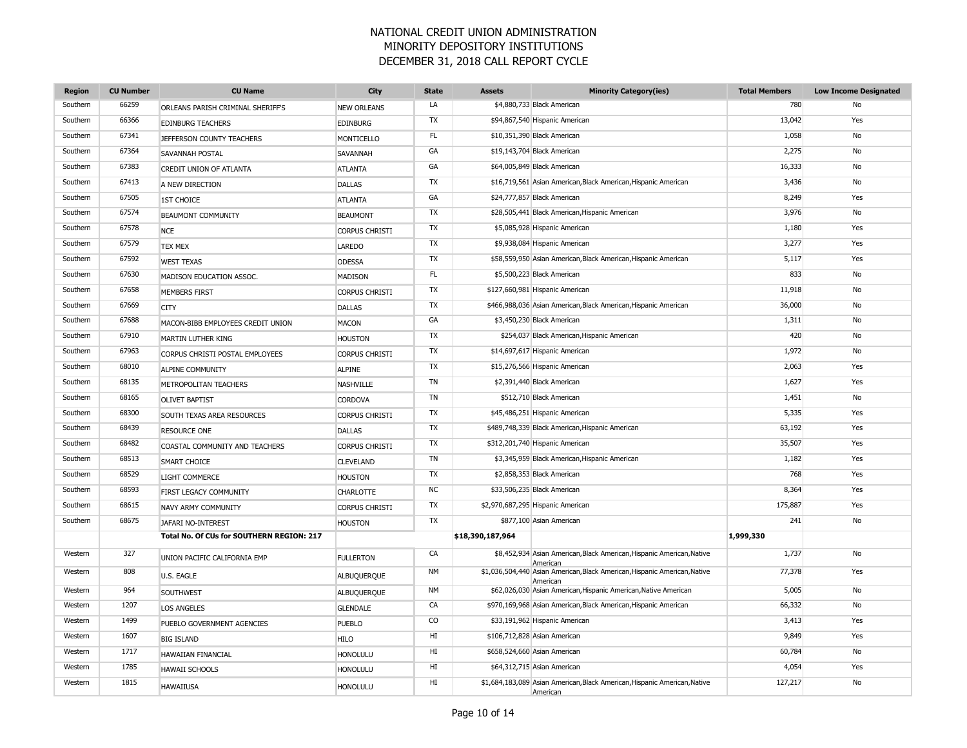| <b>Region</b> | <b>CU Number</b> | <b>CU Name</b>                            | City                  | <b>State</b> | <b>Assets</b>    | <b>Minority Category(ies)</b>                                                         | <b>Total Members</b> | <b>Low Income Designated</b> |
|---------------|------------------|-------------------------------------------|-----------------------|--------------|------------------|---------------------------------------------------------------------------------------|----------------------|------------------------------|
| Southern      | 66259            | ORLEANS PARISH CRIMINAL SHERIFF'S         | <b>NEW ORLEANS</b>    | LA           |                  | \$4,880,733 Black American                                                            | 780                  | No                           |
| Southern      | 66366            | <b>EDINBURG TEACHERS</b>                  | <b>EDINBURG</b>       | TX           |                  | \$94,867,540 Hispanic American                                                        | 13,042               | Yes                          |
| Southern      | 67341            | JEFFERSON COUNTY TEACHERS                 | MONTICELLO            | FL           |                  | \$10,351,390 Black American                                                           | 1,058                | No                           |
| Southern      | 67364            | SAVANNAH POSTAL                           | SAVANNAH              | GA           |                  | \$19,143,704 Black American                                                           | 2,275                | No                           |
| Southern      | 67383            | <b>CREDIT UNION OF ATLANTA</b>            | <b>ATLANTA</b>        | GA           |                  | \$64,005,849 Black American                                                           | 16,333               | No                           |
| Southern      | 67413            | A NEW DIRECTION                           | <b>DALLAS</b>         | TX           |                  | \$16,719,561 Asian American, Black American, Hispanic American                        | 3,436                | <b>No</b>                    |
| Southern      | 67505            | <b>1ST CHOICE</b>                         | <b>ATLANTA</b>        | GA           |                  | \$24,777,857 Black American                                                           | 8,249                | Yes                          |
| Southern      | 67574            | <b>BEAUMONT COMMUNITY</b>                 | <b>BEAUMONT</b>       | TX           |                  | \$28,505,441 Black American, Hispanic American                                        | 3,976                | No                           |
| Southern      | 67578            | <b>NCE</b>                                | <b>CORPUS CHRISTI</b> | TX           |                  | \$5,085,928 Hispanic American                                                         | 1,180                | Yes                          |
| Southern      | 67579            | <b>TEX MEX</b>                            | <b>LAREDO</b>         | TX           |                  | \$9,938,084 Hispanic American                                                         | 3,277                | Yes                          |
| Southern      | 67592            | <b>WEST TEXAS</b>                         | <b>ODESSA</b>         | TX           |                  | \$58,559,950 Asian American, Black American, Hispanic American                        | 5,117                | Yes                          |
| Southern      | 67630            | MADISON EDUCATION ASSOC.                  | <b>MADISON</b>        | FL           |                  | \$5,500,223 Black American                                                            | 833                  | No                           |
| Southern      | 67658            | <b>MEMBERS FIRST</b>                      | <b>CORPUS CHRISTI</b> | TX           |                  | \$127,660,981 Hispanic American                                                       | 11,918               | No                           |
| Southern      | 67669            | <b>CITY</b>                               | <b>DALLAS</b>         | TX           |                  | \$466,988,036 Asian American, Black American, Hispanic American                       | 36,000               | No                           |
| Southern      | 67688            | MACON-BIBB EMPLOYEES CREDIT UNION         | <b>MACON</b>          | GA           |                  | \$3,450,230 Black American                                                            | 1,311                | No                           |
| Southern      | 67910            | MARTIN LUTHER KING                        | <b>HOUSTON</b>        | <b>TX</b>    |                  | \$254,037 Black American, Hispanic American                                           | 420                  | No                           |
| Southern      | 67963            | CORPUS CHRISTI POSTAL EMPLOYEES           | <b>CORPUS CHRISTI</b> | TX           |                  | \$14,697,617 Hispanic American                                                        | 1,972                | No                           |
| Southern      | 68010            | ALPINE COMMUNITY                          | <b>ALPINE</b>         | TX           |                  | \$15,276,566 Hispanic American                                                        | 2,063                | Yes                          |
| Southern      | 68135            | METROPOLITAN TEACHERS                     | <b>NASHVILLE</b>      | TN           |                  | \$2,391,440 Black American                                                            | 1,627                | Yes                          |
| Southern      | 68165            | <b>OLIVET BAPTIST</b>                     | CORDOVA               | <b>TN</b>    |                  | \$512,710 Black American                                                              | 1,451                | No                           |
| Southern      | 68300            | SOUTH TEXAS AREA RESOURCES                | <b>CORPUS CHRISTI</b> | TX           |                  | \$45,486,251 Hispanic American                                                        | 5,335                | Yes                          |
| Southern      | 68439            | <b>RESOURCE ONE</b>                       | <b>DALLAS</b>         | TX           |                  | \$489,748,339 Black American, Hispanic American                                       | 63,192               | Yes                          |
| Southern      | 68482            | COASTAL COMMUNITY AND TEACHERS            | <b>CORPUS CHRISTI</b> | TX           |                  | \$312,201,740 Hispanic American                                                       | 35,507               | Yes                          |
| Southern      | 68513            | <b>SMART CHOICE</b>                       | <b>CLEVELAND</b>      | <b>TN</b>    |                  | \$3,345,959 Black American, Hispanic American                                         | 1,182                | Yes                          |
| Southern      | 68529            | LIGHT COMMERCE                            | <b>HOUSTON</b>        | TX           |                  | \$2,858,353 Black American                                                            | 768                  | Yes                          |
| Southern      | 68593            | FIRST LEGACY COMMUNITY                    | CHARLOTTE             | NC           |                  | \$33,506,235 Black American                                                           | 8,364                | Yes                          |
| Southern      | 68615            | NAVY ARMY COMMUNITY                       | <b>CORPUS CHRISTI</b> | TX           |                  | \$2,970,687,295 Hispanic American                                                     | 175,887              | Yes                          |
| Southern      | 68675            | JAFARI NO-INTEREST                        | <b>HOUSTON</b>        | TX           |                  | \$877,100 Asian American                                                              | 241                  | No                           |
|               |                  | Total No. Of CUs for SOUTHERN REGION: 217 |                       |              | \$18,390,187,964 |                                                                                       | 1,999,330            |                              |
| Western       | 327              | UNION PACIFIC CALIFORNIA EMP              | <b>FULLERTON</b>      | CA           |                  | \$8,452,934 Asian American, Black American, Hispanic American, Native<br>American     | 1,737                | No                           |
| Western       | 808              | U.S. EAGLE                                | ALBUQUERQUE           | <b>NM</b>    |                  | \$1,036,504,440 Asian American, Black American, Hispanic American, Native<br>American | 77,378               | Yes                          |
| Western       | 964              | SOUTHWEST                                 | ALBUQUERQUE           | <b>NM</b>    |                  | \$62,026,030 Asian American, Hispanic American, Native American                       | 5,005                | No                           |
| Western       | 1207             | <b>LOS ANGELES</b>                        | <b>GLENDALE</b>       | CA           |                  | \$970,169,968 Asian American, Black American, Hispanic American                       | 66,332               | No                           |
| Western       | 1499             | PUEBLO GOVERNMENT AGENCIES                | <b>PUEBLO</b>         | CO           |                  | \$33,191,962 Hispanic American                                                        | 3,413                | Yes                          |
| Western       | 1607             | <b>BIG ISLAND</b>                         | <b>HILO</b>           | HI           |                  | \$106,712,828 Asian American                                                          | 9,849                | Yes                          |
| Western       | 1717             | <b>HAWAIIAN FINANCIAL</b>                 | <b>HONOLULU</b>       | HI           |                  | \$658,524,660 Asian American                                                          | 60,784               | No                           |
| Western       | 1785             | <b>HAWAII SCHOOLS</b>                     | <b>HONOLULU</b>       | HI           |                  | \$64,312,715 Asian American                                                           | 4,054                | Yes                          |
| Western       | 1815             | <b>HAWAIIUSA</b>                          | <b>HONOLULU</b>       | HI           |                  | \$1,684,183,089 Asian American, Black American, Hispanic American, Native<br>American | 127,217              | No                           |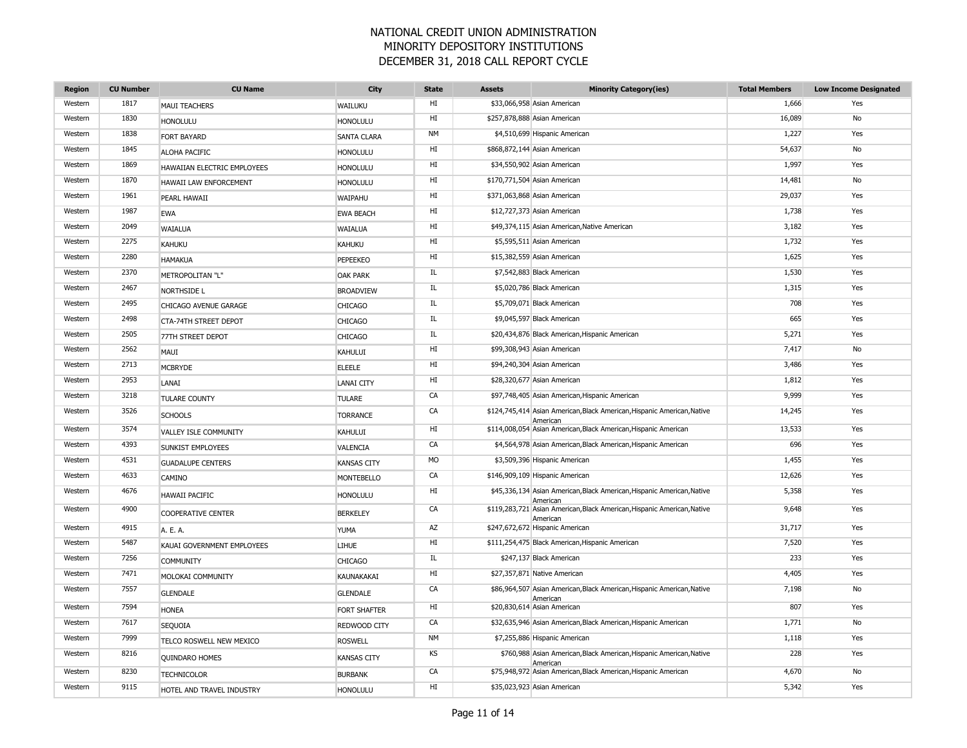| <b>Region</b> | <b>CU Number</b> | <b>CU Name</b>              | City                | <b>State</b> | <b>Assets</b> | <b>Minority Category(ies)</b>                                                       | <b>Total Members</b> | <b>Low Income Designated</b> |
|---------------|------------------|-----------------------------|---------------------|--------------|---------------|-------------------------------------------------------------------------------------|----------------------|------------------------------|
| Western       | 1817             | <b>MAUI TEACHERS</b>        | WAILUKU             | HI           |               | \$33,066,958 Asian American                                                         | 1,666                | Yes                          |
| Western       | 1830             | <b>HONOLULU</b>             | <b>HONOLULU</b>     | HI           |               | \$257,878,888 Asian American                                                        | 16,089               | No                           |
| Western       | 1838             | <b>FORT BAYARD</b>          | <b>SANTA CLARA</b>  | <b>NM</b>    |               | \$4,510,699 Hispanic American                                                       | 1,227                | Yes                          |
| Western       | 1845             | ALOHA PACIFIC               | <b>HONOLULU</b>     | HI           |               | \$868,872,144 Asian American                                                        | 54,637               | No                           |
| Western       | 1869             | HAWAIIAN ELECTRIC EMPLOYEES | <b>HONOLULU</b>     | HI           |               | \$34,550,902 Asian American                                                         | 1,997                | Yes                          |
| Western       | 1870             | HAWAII LAW ENFORCEMENT      | <b>HONOLULU</b>     | HI           |               | \$170,771,504 Asian American                                                        | 14,481               | No                           |
| Western       | 1961             | PEARL HAWAII                | <b>WAIPAHU</b>      | HI           |               | \$371,063,868 Asian American                                                        | 29,037               | Yes                          |
| Western       | 1987             | <b>EWA</b>                  | <b>EWA BEACH</b>    | HI           |               | \$12,727,373 Asian American                                                         | 1,738                | Yes                          |
| Western       | 2049             | WAIALUA                     | <b>WAIALUA</b>      | HI           |               | \$49,374,115 Asian American, Native American                                        | 3,182                | Yes                          |
| Western       | 2275             | KAHUKU                      | KAHUKU              | HI           |               | \$5,595,511 Asian American                                                          | 1,732                | Yes                          |
| Western       | 2280             | <b>HAMAKUA</b>              | PEPEEKEO            | HI           |               | \$15,382,559 Asian American                                                         | 1,625                | Yes                          |
| Western       | 2370             | METROPOLITAN "L"            | <b>OAK PARK</b>     | IL.          |               | \$7,542,883 Black American                                                          | 1,530                | Yes                          |
| Western       | 2467             | <b>NORTHSIDE L</b>          | <b>BROADVIEW</b>    | IL           |               | \$5,020,786 Black American                                                          | 1,315                | Yes                          |
| Western       | 2495             | CHICAGO AVENUE GARAGE       | <b>CHICAGO</b>      | IL           |               | \$5,709,071 Black American                                                          | 708                  | Yes                          |
| Western       | 2498             | CTA-74TH STREET DEPOT       | <b>CHICAGO</b>      | IL           |               | \$9,045,597 Black American                                                          | 665                  | Yes                          |
| Western       | 2505             | 77TH STREET DEPOT           | <b>CHICAGO</b>      | IL           |               | \$20,434,876 Black American, Hispanic American                                      | 5,271                | Yes                          |
| Western       | 2562             | MAUI                        | KAHULUI             | HI           |               | \$99,308,943 Asian American                                                         | 7,417                | No                           |
| Western       | 2713             | <b>MCBRYDE</b>              | <b>ELEELE</b>       | HI           |               | \$94,240,304 Asian American                                                         | 3,486                | Yes                          |
| Western       | 2953             | LANAI                       | <b>LANAI CITY</b>   | HI           |               | \$28,320,677 Asian American                                                         | 1,812                | Yes                          |
| Western       | 3218             | <b>TULARE COUNTY</b>        | <b>TULARE</b>       | CA           |               | \$97,748,405 Asian American, Hispanic American                                      | 9,999                | Yes                          |
| Western       | 3526             | <b>SCHOOLS</b>              | <b>TORRANCE</b>     | CA           |               | \$124,745,414 Asian American, Black American, Hispanic American, Native<br>American | 14,245               | Yes                          |
| Western       | 3574             | VALLEY ISLE COMMUNITY       | KAHULUI             | HI           |               | \$114,008,054 Asian American, Black American, Hispanic American                     | 13,533               | Yes                          |
| Western       | 4393             | <b>SUNKIST EMPLOYEES</b>    | VALENCIA            | CA           |               | \$4,564,978 Asian American, Black American, Hispanic American                       | 696                  | Yes                          |
| Western       | 4531             | <b>GUADALUPE CENTERS</b>    | <b>KANSAS CITY</b>  | <b>MO</b>    |               | \$3,509,396 Hispanic American                                                       | 1,455                | Yes                          |
| Western       | 4633             | CAMINO                      | <b>MONTEBELLO</b>   | CA           |               | \$146,909,109 Hispanic American                                                     | 12,626               | Yes                          |
| Western       | 4676             | <b>HAWAII PACIFIC</b>       | <b>HONOLULU</b>     | HI           |               | \$45,336,134 Asian American, Black American, Hispanic American, Native<br>Americar  | 5,358                | Yes                          |
| Western       | 4900             | <b>COOPERATIVE CENTER</b>   | <b>BERKELEY</b>     | CA           |               | \$119,283,721 Asian American, Black American, Hispanic American, Native<br>American | 9,648                | Yes                          |
| Western       | 4915             | A. E. A.                    | <b>YUMA</b>         | AZ           |               | \$247,672,672 Hispanic American                                                     | 31,717               | Yes                          |
| Western       | 5487             | KAUAI GOVERNMENT EMPLOYEES  | LIHUE               | HI           |               | \$111,254,475 Black American, Hispanic American                                     | 7,520                | Yes                          |
| Western       | 7256             | <b>COMMUNITY</b>            | <b>CHICAGO</b>      | IL           |               | \$247,137 Black American                                                            | 233                  | Yes                          |
| Western       | 7471             | MOLOKAI COMMUNITY           | KAUNAKAKAI          | HI           |               | \$27,357,871 Native American                                                        | 4,405                | Yes                          |
| Western       | 7557             | <b>GLENDALE</b>             | <b>GLENDALE</b>     | CA           |               | \$86,964,507 Asian American, Black American, Hispanic American, Native<br>American  | 7,198                | No                           |
| Western       | 7594             | <b>HONEA</b>                | <b>FORT SHAFTER</b> | HI           |               | \$20,830,614 Asian American                                                         | 807                  | Yes                          |
| Western       | 7617             | SEQUOIA                     | REDWOOD CITY        | CA           |               | \$32,635,946 Asian American, Black American, Hispanic American                      | 1,771                | No                           |
| Western       | 7999             | TELCO ROSWELL NEW MEXICO    | <b>ROSWELL</b>      | <b>NM</b>    |               | \$7,255,886 Hispanic American                                                       | 1,118                | Yes                          |
| Western       | 8216             | QUINDARO HOMES              | <b>KANSAS CITY</b>  | KS           |               | \$760,988 Asian American, Black American, Hispanic American, Native<br>American     | 228                  | Yes                          |
| Western       | 8230             | <b>TECHNICOLOR</b>          | <b>BURBANK</b>      | CA           |               | \$75,948,972 Asian American, Black American, Hispanic American                      | 4,670                | No                           |
| Western       | 9115             | HOTEL AND TRAVEL INDUSTRY   | <b>HONOLULU</b>     | HI           |               | \$35,023,923 Asian American                                                         | 5,342                | Yes                          |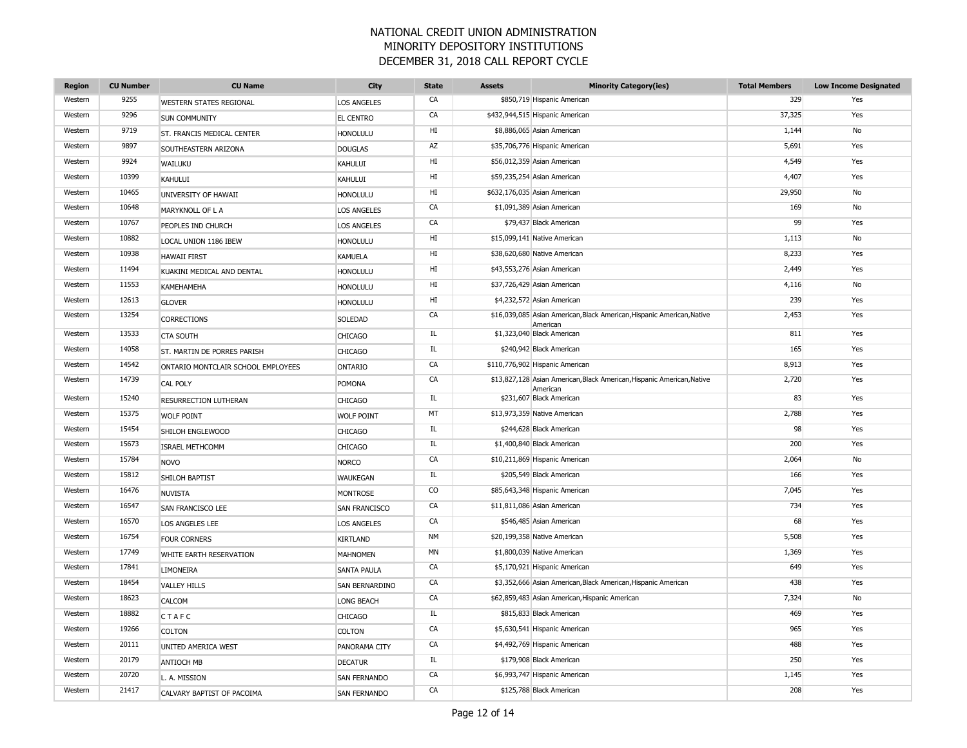| <b>Region</b> | <b>CU Number</b> | <b>CU Name</b>                     | City                | <b>State</b> | <b>Assets</b> | <b>Minority Category(ies)</b>                                                      | <b>Total Members</b> | <b>Low Income Designated</b> |
|---------------|------------------|------------------------------------|---------------------|--------------|---------------|------------------------------------------------------------------------------------|----------------------|------------------------------|
| Western       | 9255             | <b>WESTERN STATES REGIONAL</b>     | <b>LOS ANGELES</b>  | CA           |               | \$850,719 Hispanic American                                                        | 329                  | Yes                          |
| Western       | 9296             | <b>SUN COMMUNITY</b>               | <b>EL CENTRO</b>    | CA           |               | \$432,944,515 Hispanic American                                                    | 37,325               | Yes                          |
| Western       | 9719             | ST. FRANCIS MEDICAL CENTER         | <b>HONOLULU</b>     | HI           |               | \$8,886,065 Asian American                                                         | 1,144                | No                           |
| Western       | 9897             | SOUTHEASTERN ARIZONA               | <b>DOUGLAS</b>      | AZ           |               | \$35,706,776 Hispanic American                                                     | 5,691                | Yes                          |
| Western       | 9924             | WAILUKU                            | KAHULUI             | HI           |               | \$56,012,359 Asian American                                                        | 4,549                | Yes                          |
| Western       | 10399            | <b>KAHULUI</b>                     | KAHULUI             | HI           |               | \$59,235,254 Asian American                                                        | 4,407                | Yes                          |
| Western       | 10465            | UNIVERSITY OF HAWAII               | <b>HONOLULU</b>     | HI           |               | \$632,176,035 Asian American                                                       | 29,950               | No                           |
| Western       | 10648            | MARYKNOLL OF L A                   | <b>LOS ANGELES</b>  | CA           |               | \$1,091,389 Asian American                                                         | 169                  | No                           |
| Western       | 10767            | PEOPLES IND CHURCH                 | <b>LOS ANGELES</b>  | CA           |               | \$79,437 Black American                                                            | 99                   | Yes                          |
| Western       | 10882            | LOCAL UNION 1186 IBEW              | <b>HONOLULU</b>     | HI           |               | \$15,099,141 Native American                                                       | 1,113                | No                           |
| Western       | 10938            | <b>HAWAII FIRST</b>                | <b>KAMUELA</b>      | HI           |               | \$38,620,680 Native American                                                       | 8,233                | Yes                          |
| Western       | 11494            | KUAKINI MEDICAL AND DENTAL         | <b>HONOLULU</b>     | HI           |               | \$43,553,276 Asian American                                                        | 2,449                | Yes                          |
| Western       | 11553            | <b>KAMEHAMEHA</b>                  | <b>HONOLULU</b>     | HI           |               | \$37,726,429 Asian American                                                        | 4,116                | No                           |
| Western       | 12613            | <b>GLOVER</b>                      | <b>HONOLULU</b>     | HI           |               | \$4,232,572 Asian American                                                         | 239                  | Yes                          |
| Western       | 13254            | <b>CORRECTIONS</b>                 | SOLEDAD             | CA           |               | \$16,039,085 Asian American, Black American, Hispanic American, Native<br>American | 2,453                | Yes                          |
| Western       | 13533            | <b>CTA SOUTH</b>                   | <b>CHICAGO</b>      | IL           |               | \$1,323,040 Black American                                                         | 811                  | Yes                          |
| Western       | 14058            | ST. MARTIN DE PORRES PARISH        | <b>CHICAGO</b>      | IL           |               | \$240,942 Black American                                                           | 165                  | Yes                          |
| Western       | 14542            | ONTARIO MONTCLAIR SCHOOL EMPLOYEES | <b>ONTARIO</b>      | CA           |               | \$110,776,902 Hispanic American                                                    | 8,913                | Yes                          |
| Western       | 14739            | <b>CAL POLY</b>                    | <b>POMONA</b>       | CA           |               | \$13,827,128 Asian American, Black American, Hispanic American, Native<br>American | 2,720                | Yes                          |
| Western       | 15240            | RESURRECTION LUTHERAN              | <b>CHICAGO</b>      | IL.          |               | \$231,607 Black American                                                           | 83                   | Yes                          |
| Western       | 15375            | <b>WOLF POINT</b>                  | <b>WOLF POINT</b>   | MT           |               | \$13,973,359 Native American                                                       | 2,788                | Yes                          |
| Western       | 15454            | SHILOH ENGLEWOOD                   | <b>CHICAGO</b>      | IL           |               | \$244,628 Black American                                                           | 98                   | Yes                          |
| Western       | 15673            | <b>ISRAEL METHCOMM</b>             | <b>CHICAGO</b>      | IL           |               | \$1,400,840 Black American                                                         | 200                  | Yes                          |
| Western       | 15784            | <b>NOVO</b>                        | <b>NORCO</b>        | CA           |               | \$10,211,869 Hispanic American                                                     | 2,064                | No                           |
| Western       | 15812            | SHILOH BAPTIST                     | <b>WAUKEGAN</b>     | IL           |               | \$205,549 Black American                                                           | 166                  | Yes                          |
| Western       | 16476            | <b>NUVISTA</b>                     | <b>MONTROSE</b>     | $\rm CO$     |               | \$85,643,348 Hispanic American                                                     | 7,045                | Yes                          |
| Western       | 16547            | SAN FRANCISCO LEE                  | SAN FRANCISCO       | CA           |               | \$11,811,086 Asian American                                                        | 734                  | Yes                          |
| Western       | 16570            | LOS ANGELES LEE                    | <b>LOS ANGELES</b>  | CA           |               | \$546,485 Asian American                                                           | 68                   | Yes                          |
| Western       | 16754            | <b>FOUR CORNERS</b>                | <b>KIRTLAND</b>     | <b>NM</b>    |               | \$20,199,358 Native American                                                       | 5,508                | Yes                          |
| Western       | 17749            | WHITE EARTH RESERVATION            | <b>MAHNOMEN</b>     | <b>MN</b>    |               | \$1,800,039 Native American                                                        | 1,369                | Yes                          |
| Western       | 17841            | <b>LIMONEIRA</b>                   | <b>SANTA PAULA</b>  | CA           |               | \$5,170,921 Hispanic American                                                      | 649                  | Yes                          |
| Western       | 18454            | <b>VALLEY HILLS</b>                | SAN BERNARDINO      | CA           |               | \$3,352,666 Asian American, Black American, Hispanic American                      | 438                  | Yes                          |
| Western       | 18623            | CALCOM                             | LONG BEACH          | CA           |               | \$62,859,483 Asian American, Hispanic American                                     | 7,324                | No                           |
| Western       | 18882            | CTAFC                              | <b>CHICAGO</b>      | IL           |               | \$815,833 Black American                                                           | 469                  | Yes                          |
| Western       | 19266            | <b>COLTON</b>                      | <b>COLTON</b>       | CA           |               | \$5,630,541 Hispanic American                                                      | 965                  | Yes                          |
| Western       | 20111            | UNITED AMERICA WEST                | PANORAMA CITY       | CA           |               | \$4,492,769 Hispanic American                                                      | 488                  | Yes                          |
| Western       | 20179            | <b>ANTIOCH MB</b>                  | <b>DECATUR</b>      | IL           |               | \$179,908 Black American                                                           | 250                  | Yes                          |
| Western       | 20720            | L. A. MISSION                      | <b>SAN FERNANDO</b> | CA           |               | \$6,993,747 Hispanic American                                                      | 1,145                | Yes                          |
| Western       | 21417            | CALVARY BAPTIST OF PACOIMA         | <b>SAN FERNANDO</b> | CA           |               | \$125,788 Black American                                                           | 208                  | Yes                          |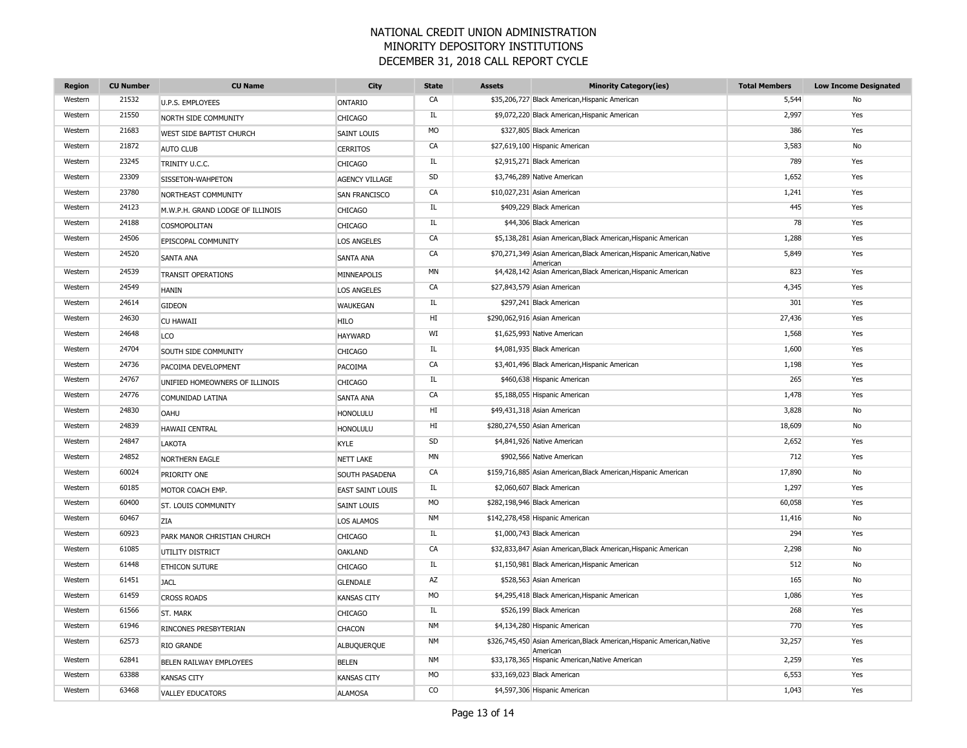| <b>Region</b> | <b>CU Number</b> | <b>CU Name</b>                   | City                    | <b>State</b> | <b>Assets</b> | <b>Minority Category(ies)</b>                                                       | <b>Total Members</b> | <b>Low Income Designated</b> |
|---------------|------------------|----------------------------------|-------------------------|--------------|---------------|-------------------------------------------------------------------------------------|----------------------|------------------------------|
| Western       | 21532            | U.P.S. EMPLOYEES                 | <b>ONTARIO</b>          | CA           |               | \$35,206,727 Black American, Hispanic American                                      | 5,544                | No                           |
| Western       | 21550            | NORTH SIDE COMMUNITY             | <b>CHICAGO</b>          | IL           |               | \$9,072,220 Black American, Hispanic American                                       | 2,997                | Yes                          |
| Western       | 21683            | WEST SIDE BAPTIST CHURCH         | <b>SAINT LOUIS</b>      | <b>MO</b>    |               | \$327,805 Black American                                                            | 386                  | Yes                          |
| Western       | 21872            | <b>AUTO CLUB</b>                 | <b>CERRITOS</b>         | CA           |               | \$27,619,100 Hispanic American                                                      | 3,583                | No                           |
| Western       | 23245            | TRINITY U.C.C.                   | <b>CHICAGO</b>          | IL           |               | \$2,915,271 Black American                                                          | 789                  | Yes                          |
| Western       | 23309            | SISSETON-WAHPETON                | <b>AGENCY VILLAGE</b>   | SD           |               | \$3,746,289 Native American                                                         | 1,652                | Yes                          |
| Western       | 23780            | NORTHEAST COMMUNITY              | <b>SAN FRANCISCO</b>    | CA           |               | \$10,027,231 Asian American                                                         | 1,241                | Yes                          |
| Western       | 24123            | M.W.P.H. GRAND LODGE OF ILLINOIS | <b>CHICAGO</b>          | IL.          |               | \$409,229 Black American                                                            | 445                  | Yes                          |
| Western       | 24188            | COSMOPOLITAN                     | <b>CHICAGO</b>          | IL           |               | \$44,306 Black American                                                             | 78                   | Yes                          |
| Western       | 24506            | EPISCOPAL COMMUNITY              | <b>LOS ANGELES</b>      | CA           |               | \$5,138,281 Asian American, Black American, Hispanic American                       | 1,288                | Yes                          |
| Western       | 24520            | <b>SANTA ANA</b>                 | <b>SANTA ANA</b>        | CA           |               | \$70,271,349 Asian American, Black American, Hispanic American, Native<br>American  | 5,849                | Yes                          |
| Western       | 24539            | <b>TRANSIT OPERATIONS</b>        | MINNEAPOLIS             | <b>MN</b>    |               | \$4,428,142 Asian American, Black American, Hispanic American                       | 823                  | Yes                          |
| Western       | 24549            | <b>HANIN</b>                     | <b>LOS ANGELES</b>      | CA           |               | \$27,843,579 Asian American                                                         | 4,345                | Yes                          |
| Western       | 24614            | <b>GIDEON</b>                    | <b>WAUKEGAN</b>         | IL           |               | \$297,241 Black American                                                            | 301                  | Yes                          |
| Western       | 24630            | <b>CU HAWAII</b>                 | <b>HILO</b>             | HI           |               | \$290,062,916 Asian American                                                        | 27,436               | Yes                          |
| Western       | 24648            | <b>LCO</b>                       | <b>HAYWARD</b>          | WI           |               | \$1,625,993 Native American                                                         | 1,568                | Yes                          |
| Western       | 24704            | SOUTH SIDE COMMUNITY             | <b>CHICAGO</b>          | IL           |               | \$4,081,935 Black American                                                          | 1,600                | Yes                          |
| Western       | 24736            | PACOIMA DEVELOPMENT              | PACOIMA                 | CA           |               | \$3,401,496 Black American, Hispanic American                                       | 1,198                | Yes                          |
| Western       | 24767            | UNIFIED HOMEOWNERS OF ILLINOIS   | <b>CHICAGO</b>          | IL           |               | \$460,638 Hispanic American                                                         | 265                  | Yes                          |
| Western       | 24776            | COMUNIDAD LATINA                 | <b>SANTA ANA</b>        | CA           |               | \$5,188,055 Hispanic American                                                       | 1,478                | Yes                          |
| Western       | 24830            | OAHU                             | <b>HONOLULU</b>         | HI           |               | \$49,431,318 Asian American                                                         | 3,828                | No                           |
| Western       | 24839            | <b>HAWAII CENTRAL</b>            | <b>HONOLULU</b>         | HI           |               | \$280,274,550 Asian American                                                        | 18,609               | No                           |
| Western       | 24847            | LAKOTA                           | KYLE                    | SD           |               | \$4,841,926 Native American                                                         | 2,652                | Yes                          |
| Western       | 24852            | NORTHERN EAGLE                   | <b>NETT LAKE</b>        | <b>MN</b>    |               | \$902,566 Native American                                                           | 712                  | Yes                          |
| Western       | 60024            | PRIORITY ONE                     | SOUTH PASADENA          | CA           |               | \$159,716,885 Asian American, Black American, Hispanic American                     | 17,890               | No                           |
| Western       | 60185            | MOTOR COACH EMP.                 | <b>EAST SAINT LOUIS</b> | IL           |               | \$2,060,607 Black American                                                          | 1,297                | Yes                          |
| Western       | 60400            | <b>ST. LOUIS COMMUNITY</b>       | <b>SAINT LOUIS</b>      | <b>MO</b>    |               | \$282,198,946 Black American                                                        | 60,058               | Yes                          |
| Western       | 60467            | <b>ZIA</b>                       | <b>LOS ALAMOS</b>       | <b>NM</b>    |               | \$142,278,458 Hispanic American                                                     | 11,416               | No                           |
| Western       | 60923            | PARK MANOR CHRISTIAN CHURCH      | <b>CHICAGO</b>          | IL.          |               | \$1,000,743 Black American                                                          | 294                  | Yes                          |
| Western       | 61085            | UTILITY DISTRICT                 | <b>OAKLAND</b>          | CA           |               | \$32,833,847 Asian American, Black American, Hispanic American                      | 2,298                | No                           |
| Western       | 61448            | ETHICON SUTURE                   | <b>CHICAGO</b>          | IL           |               | \$1,150,981 Black American, Hispanic American                                       | 512                  | No                           |
| Western       | 61451            | <b>JACL</b>                      | <b>GLENDALE</b>         | AZ           |               | \$528,563 Asian American                                                            | 165                  | No                           |
| Western       | 61459            | <b>CROSS ROADS</b>               | <b>KANSAS CITY</b>      | <b>MO</b>    |               | \$4,295,418 Black American, Hispanic American                                       | 1,086                | Yes                          |
| Western       | 61566            | ST. MARK                         | <b>CHICAGO</b>          | IL.          |               | \$526,199 Black American                                                            | 268                  | Yes                          |
| Western       | 61946            | RINCONES PRESBYTERIAN            | <b>CHACON</b>           | <b>NM</b>    |               | \$4,134,280 Hispanic American                                                       | 770                  | Yes                          |
| Western       | 62573            | RIO GRANDE                       | ALBUQUERQUE             | <b>NM</b>    |               | \$326,745,450 Asian American, Black American, Hispanic American, Native<br>American | 32,257               | Yes                          |
| Western       | 62841            | BELEN RAILWAY EMPLOYEES          | <b>BELEN</b>            | <b>NM</b>    |               | \$33,178,365 Hispanic American, Native American                                     | 2,259                | Yes                          |
| Western       | 63388            | <b>KANSAS CITY</b>               | <b>KANSAS CITY</b>      | <b>MO</b>    |               | \$33,169,023 Black American                                                         | 6,553                | Yes                          |
| Western       | 63468            | <b>VALLEY EDUCATORS</b>          | <b>ALAMOSA</b>          | CO           |               | \$4,597,306 Hispanic American                                                       | 1,043                | Yes                          |